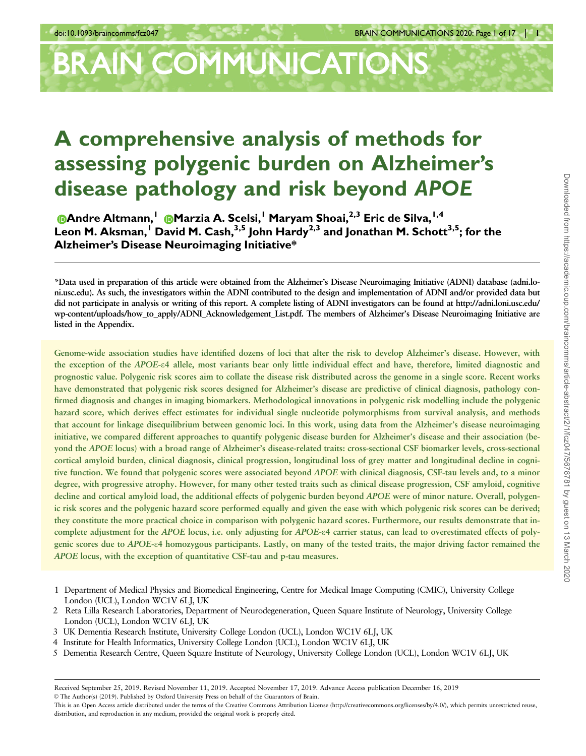# **BRAIN COMMUNICATIONS**

## A comprehensive analysis of methods for assessing polygenic burden on Alzheimer's disease pathology and risk beyond APOE

**DAndre Altmann, DMarzia A. Scelsi, Maryam Shoai, 2,3 Eric de Silva, 1,4** Leon M. Aksman,<sup>1</sup> David M. Cash,<sup>3,5</sup> John Hardy<sup>2,3</sup> and Jonathan M. Schott<sup>3,5</sup>; for the Alzheimer's Disease Neuroimaging Initiative\*

\*Data used in preparation of this article were obtained from the Alzheimer's Disease Neuroimaging Initiative (ADNI) database (adni.loni.usc.edu). As such, the investigators within the ADNI contributed to the design and implementation of ADNI and/or provided data but did not participate in analysis or writing of this report. A complete listing of ADNI investigators can be found at http://adni.loni.usc.edu/ wp-content/uploads/how\_to\_apply/ADNI\_Acknowledgement\_List.pdf. The members of Alzheimer's Disease Neuroimaging Initiative are listed in the Appendix.

Genome-wide association studies have identified dozens of loci that alter the risk to develop Alzheimer's disease. However, with the exception of the APOE-e4 allele, most variants bear only little individual effect and have, therefore, limited diagnostic and prognostic value. Polygenic risk scores aim to collate the disease risk distributed across the genome in a single score. Recent works have demonstrated that polygenic risk scores designed for Alzheimer's disease are predictive of clinical diagnosis, pathology confirmed diagnosis and changes in imaging biomarkers. Methodological innovations in polygenic risk modelling include the polygenic hazard score, which derives effect estimates for individual single nucleotide polymorphisms from survival analysis, and methods that account for linkage disequilibrium between genomic loci. In this work, using data from the Alzheimer's disease neuroimaging initiative, we compared different approaches to quantify polygenic disease burden for Alzheimer's disease and their association (beyond the APOE locus) with a broad range of Alzheimer's disease-related traits: cross-sectional CSF biomarker levels, cross-sectional cortical amyloid burden, clinical diagnosis, clinical progression, longitudinal loss of grey matter and longitudinal decline in cognitive function. We found that polygenic scores were associated beyond APOE with clinical diagnosis, CSF-tau levels and, to a minor degree, with progressive atrophy. However, for many other tested traits such as clinical disease progression, CSF amyloid, cognitive decline and cortical amyloid load, the additional effects of polygenic burden beyond APOE were of minor nature. Overall, polygenic risk scores and the polygenic hazard score performed equally and given the ease with which polygenic risk scores can be derived; they constitute the more practical choice in comparison with polygenic hazard scores. Furthermore, our results demonstrate that incomplete adjustment for the APOE locus, i.e. only adjusting for APOE-e4 carrier status, can lead to overestimated effects of polygenic scores due to APOE-e4 homozygous participants. Lastly, on many of the tested traits, the major driving factor remained the APOE locus, with the exception of quantitative CSF-tau and p-tau measures.

- 1 Department of Medical Physics and Biomedical Engineering, Centre for Medical Image Computing (CMIC), University College London (UCL), London WC1V 6LJ, UK
- 2 Reta Lilla Research Laboratories, Department of Neurodegeneration, Queen Square Institute of Neurology, University College London (UCL), London WC1V 6LJ, UK
- 3 UK Dementia Research Institute, University College London (UCL), London WC1V 6LJ, UK
- 4 Institute for Health Informatics, University College London (UCL), London WC1V 6LJ, UK
- 5 Dementia Research Centre, Queen Square Institute of Neurology, University College London (UCL), London WC1V 6LJ, UK

Received September 25, 2019. Revised November 11, 2019. Accepted November 17, 2019. Advance Access publication December 16, 2019 V<sup>C</sup> The Author(s) (2019). Published by Oxford University Press on behalf of the Guarantors of Brain.

This is an Open Access article distributed under the terms of the Creative Commons Attribution License (http://creativecommons.org/licenses/by/4.0/), which permits unrestricted reuse, distribution, and reproduction in any medium, provided the original work is properly cited.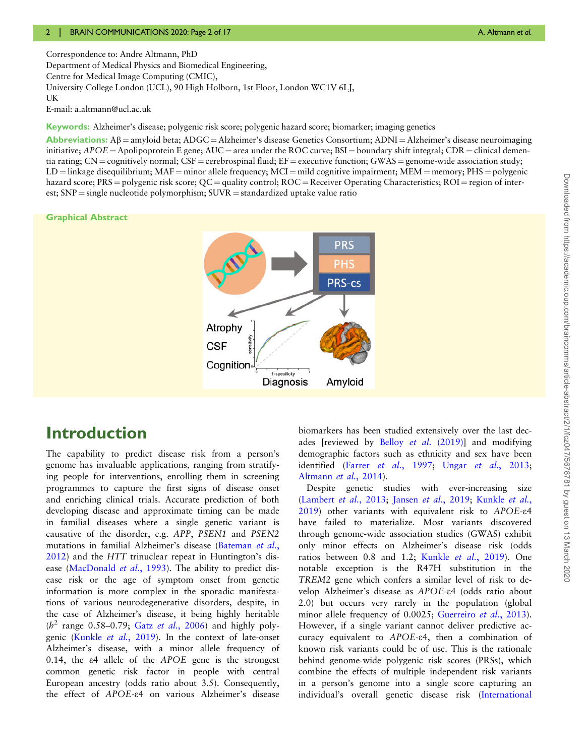Downloaded from https://academic.oup.com/braincomms/article-abstract/2/1/fcz047/5678781 by guest on 13 March 2020 Downloaded from https://academic.oup.com/braincomms/article-abstract/2/1/fcz047/5678781 by guest on 13 March 2020

Correspondence to: Andre Altmann, PhD Department of Medical Physics and Biomedical Engineering, Centre for Medical Image Computing (CMIC), University College London (UCL), 90 High Holborn, 1st Floor, London WC1V 6LJ, **IK** 

E-mail: a.altmann@ucl.ac.uk

Keywords: Alzheimer's disease; polygenic risk score; polygenic hazard score; biomarker; imaging genetics

Abbreviations:  $A\beta$  = amyloid beta; ADGC = Alzheimer's disease Genetics Consortium; ADNI = Alzheimer's disease neuroimaging initiative;  $APOE =$  Apolipoprotein E gene;  $AUC =$  area under the ROC curve;  $BSI =$  boundary shift integral; CDR = clinical dementia rating;  $CN =$  cognitively normal;  $CSF =$  cerebrospinal fluid;  $EF =$  executive function;  $GWA =$  genome-wide association study;  $LD =$  linkage disequilibrium; MAF = minor allele frequency; MCI = mild cognitive impairment; MEM = memory; PHS = polygenic hazard score;  $PRS =$  polygenic risk score;  $QC =$  quality control;  $ROC =$  Receiver Operating Characteristics;  $ROI =$  region of interest;  $SNP = \text{single nucleotide polymorphism}$ ;  $SUVR = \text{standardized uptake value ratio}$ 

#### Graphical Abstract



## Introduction

The capability to predict disease risk from a person's genome has invaluable applications, ranging from stratifying people for interventions, enrolling them in screening programmes to capture the first signs of disease onset and enriching clinical trials. Accurate prediction of both developing disease and approximate timing can be made in familial diseases where a single genetic variant is causative of the disorder, e.g. APP, PSEN1 and PSEN2 mutations in familial Alzheimer's disease [\(Bateman](#page-11-0) et al., [2012](#page-11-0)) and the HTT trinuclear repeat in Huntington's dis-ease [\(MacDonald](#page-12-0) et al., 1993). The ability to predict disease risk or the age of symptom onset from genetic information is more complex in the sporadic manifestations of various neurodegenerative disorders, despite, in the case of Alzheimer's disease, it being highly heritable  $(h^2 \text{ range } 0.58-0.79; \text{ Gatz } et \text{ al., } 2006)$  and highly polygenic [\(Kunkle](#page-11-0) et al., 2019). In the context of late-onset Alzheimer's disease, with a minor allele frequency of 0.14, the e4 allele of the APOE gene is the strongest common genetic risk factor in people with central European ancestry (odds ratio about 3.5). Consequently, the effect of APOE-e4 on various Alzheimer's disease

biomarkers has been studied extensively over the last decades [reviewed by Belloy et al.  $(2019)$ ] and modifying demographic factors such as ethnicity and sex have been identified (Farrer et al.[, 1997;](#page-11-0) Ungar et al.[, 2013](#page-12-0); [Altmann](#page-11-0) et al., 2014).

Despite genetic studies with ever-increasing size [\(Lambert](#page-11-0) et al., 2013; Jansen et al.[, 2019](#page-11-0); [Kunkle](#page-11-0) et al., [2019](#page-11-0)) other variants with equivalent risk to APOE- $\varepsilon$ 4 have failed to materialize. Most variants discovered through genome-wide association studies (GWAS) exhibit only minor effects on Alzheimer's disease risk (odds ratios between 0.8 and 1.2; [Kunkle](#page-11-0) et al., 2019). One notable exception is the R47H substitution in the TREM2 gene which confers a similar level of risk to develop Alzheimer's disease as APOE-e4 (odds ratio about 2.0) but occurs very rarely in the population (global minor allele frequency of 0.0025; [Guerreiro](#page-11-0) et al., 2013). However, if a single variant cannot deliver predictive accuracy equivalent to APOE-e4, then a combination of known risk variants could be of use. This is the rationale behind genome-wide polygenic risk scores (PRSs), which combine the effects of multiple independent risk variants in a person's genome into a single score capturing an individual's overall genetic disease risk [\(International](#page-11-0)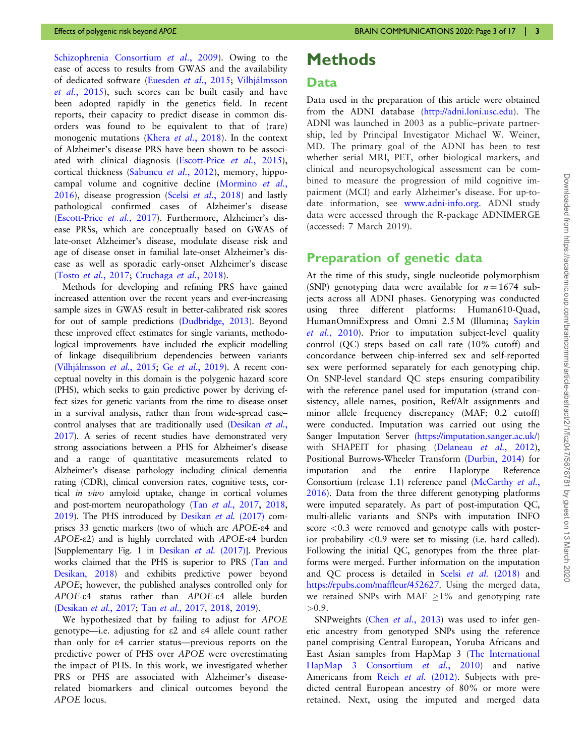[Schizophrenia Consortium](#page-11-0) et al., 2009). Owing to the ease of access to results from GWAS and the availability of dedicated software [\(Euesden](#page-11-0) et al., 2015; Vilhiálmsson et al.[, 2015\)](#page-12-0), such scores can be built easily and have been adopted rapidly in the genetics field. In recent reports, their capacity to predict disease in common disorders was found to be equivalent to that of (rare) monogenic mutations (Khera *et al.*[, 2018](#page-11-0)). In the context of Alzheimer's disease PRS have been shown to be associated with clinical diagnosis [\(Escott-Price](#page-11-0) et al., 2015), cortical thickness ([Sabuncu](#page-12-0) et al., 2012), memory, hippocampal volume and cognitive decline [\(Mormino](#page-12-0) et al., [2016\)](#page-12-0), disease progression (Scelsi et al.[, 2018\)](#page-12-0) and lastly pathological confirmed cases of Alzheimer's disease ([Escott-Price](#page-11-0) et al., 2017). Furthermore, Alzheimer's disease PRSs, which are conceptually based on GWAS of late-onset Alzheimer's disease, modulate disease risk and age of disease onset in familial late-onset Alzheimer's disease as well as sporadic early-onset Alzheimer's disease (Tosto et al.[, 2017](#page-12-0); [Cruchaga](#page-11-0) et al., 2018).

Methods for developing and refining PRS have gained increased attention over the recent years and ever-increasing sample sizes in GWAS result in better-calibrated risk scores for out of sample predictions [\(Dudbridge, 2013](#page-11-0)). Beyond these improved effect estimates for single variants, methodological improvements have included the explicit modelling of linkage disequilibrium dependencies between variants (Vilhjálmsson et al., 2015; Ge et al.[, 2019](#page-11-0)). A recent conceptual novelty in this domain is the polygenic hazard score (PHS), which seeks to gain predictive power by deriving effect sizes for genetic variants from the time to disease onset in a survival analysis, rather than from wide-spread case– control analyses that are traditionally used ([Desikan](#page-11-0) *et al.*, [2017\)](#page-11-0). A series of recent studies have demonstrated very strong associations between a PHS for Alzheimer's disease and a range of quantitative measurements related to Alzheimer's disease pathology including clinical dementia rating (CDR), clinical conversion rates, cognitive tests, cortical in vivo amyloid uptake, change in cortical volumes and post-mortem neuropathology (Tan et al.[, 2017](#page-12-0), [2018](#page-12-0), [2019\)](#page-12-0). The PHS introduced by [Desikan](#page-11-0) et al. (2017) comprises 33 genetic markers (two of which are APOE-e4 and APOE-e2) and is highly correlated with APOE-e4 burden [Supplementary Fig. 1 in [Desikan](#page-11-0) et al. (2017)]. Previous works claimed that the PHS is superior to PRS [\(Tan and](#page-12-0) [Desikan, 2018](#page-12-0)) and exhibits predictive power beyond APOE; however, the published analyses controlled only for APOE-e4 status rather than APOE-e4 allele burden ([Desikan](#page-11-0) et al., 2017; Tan et al.[, 2017,](#page-12-0) [2018](#page-12-0), [2019\)](#page-12-0).

We hypothesized that by failing to adjust for APOE genotype—i.e. adjusting for e2 and e4 allele count rather than only for e4 carrier status—previous reports on the predictive power of PHS over APOE were overestimating the impact of PHS. In this work, we investigated whether PRS or PHS are associated with Alzheimer's diseaserelated biomarkers and clinical outcomes beyond the APOE locus.

## **Methods**

#### Data

Data used in the preparation of this article were obtained from the ADNI database [\(http://adni.loni.usc.edu\)](http://adni.loni.usc.edu). The ADNI was launched in 2003 as a public–private partnership, led by Principal Investigator Michael W. Weiner, MD. The primary goal of the ADNI has been to test whether serial MRI, PET, other biological markers, and clinical and neuropsychological assessment can be combined to measure the progression of mild cognitive impairment (MCI) and early Alzheimer's disease. For up-todate information, see [www.adni-info.org](http://www.adni-info.org). ADNI study data were accessed through the R-package ADNIMERGE (accessed: 7 March 2019).

## Preparation of genetic data

At the time of this study, single nucleotide polymorphism (SNP) genotyping data were available for  $n = 1674$  subjects across all ADNI phases. Genotyping was conducted using three different platforms: Human610-Quad, HumanOmniExpress and Omni 2.5M (Illumina; [Saykin](#page-12-0) et al.[, 2010\)](#page-12-0). Prior to imputation subject-level quality control (QC) steps based on call rate (10% cutoff) and concordance between chip-inferred sex and self-reported sex were performed separately for each genotyping chip. On SNP-level standard QC steps ensuring compatibility with the reference panel used for imputation (strand consistency, allele names, position, Ref/Alt assignments and minor allele frequency discrepancy (MAF; 0.2 cutoff) were conducted. Imputation was carried out using the Sanger Imputation Server [\(https://imputation.sanger.ac.uk/](https://imputation.sanger.ac.uk/)) with SHAPEIT for phasing ([Delaneau](#page-11-0) et al., 2012), Positional Burrows-Wheeler Transform ([Durbin, 2014](#page-11-0)) for imputation and the entire Haplotype Reference Consortium (release 1.1) reference panel [\(McCarthy](#page-12-0) et al., [2016](#page-12-0)). Data from the three different genotyping platforms were imputed separately. As part of post-imputation QC, multi-allelic variants and SNPs with imputation INFO score  $\langle 0.3 \rangle$  were removed and genotype calls with posterior probability <0.9 were set to missing (i.e. hard called). Following the initial QC, genotypes from the three platforms were merged. Further information on the imputation and QC process is detailed in Scelsi et al. [\(2018\)](#page-12-0) and [https://rpubs.com/maffleur/452627.](https://rpubs.com/maffleur/452627) Using the merged data, we retained SNPs with MAF  $\geq$ 1% and genotyping rate  $>0.9$ .

SNPweights (Chen et al.[, 2013\)](#page-11-0) was used to infer genetic ancestry from genotyped SNPs using the reference panel comprising Central European, Yoruba Africans and East Asian samples from HapMap 3 ([The International](#page-12-0) [HapMap 3 Consortium](#page-12-0) et al., 2010) and native Americans from Reich et al. [\(2012\)](#page-12-0). Subjects with predicted central European ancestry of 80% or more were retained. Next, using the imputed and merged data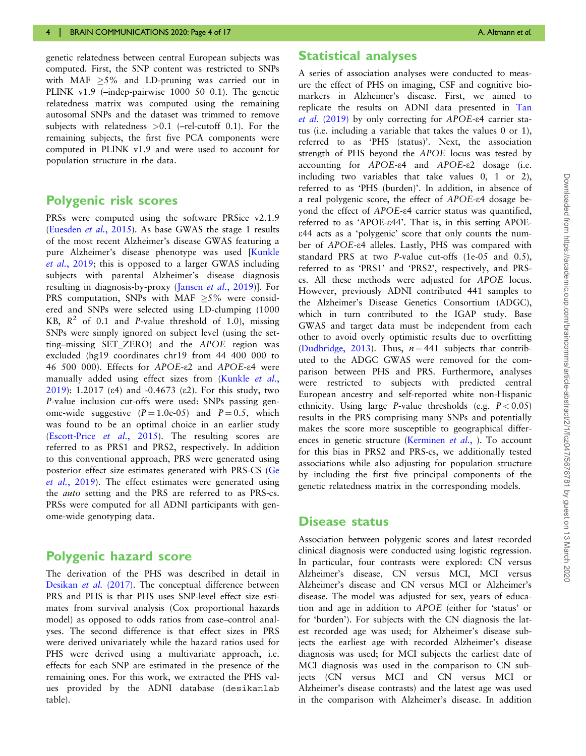genetic relatedness between central European subjects was computed. First, the SNP content was restricted to SNPs with MAF  $\geq$ 5% and LD-pruning was carried out in PLINK v1.9 (–indep-pairwise 1000 50 0.1). The genetic relatedness matrix was computed using the remaining autosomal SNPs and the dataset was trimmed to remove subjects with relatedness  $>0.1$  (-rel-cutoff 0.1). For the remaining subjects, the first five PCA components were computed in PLINK v1.9 and were used to account for population structure in the data.

## Polygenic risk scores

PRSs were computed using the software PRSice v2.1.9 [\(Euesden](#page-11-0) et al., 2015). As base GWAS the stage 1 results of the most recent Alzheimer's disease GWAS featuring a pure Alzheimer's disease phenotype was used [[Kunkle](#page-11-0) et al.[, 2019;](#page-11-0) this is opposed to a larger GWAS including subjects with parental Alzheimer's disease diagnosis resulting in diagnosis-by-proxy (Jansen et al.[, 2019](#page-11-0))]. For PRS computation, SNPs with MAF  $\geq$ 5% were considered and SNPs were selected using LD-clumping (1000 KB,  $R^2$  of 0.1 and P-value threshold of 1.0), missing SNPs were simply ignored on subject level (using the setting–missing SET\_ZERO) and the APOE region was excluded (hg19 coordinates chr19 from 44 400 000 to 46 500 000). Effects for APOE-e2 and APOE-e4 were manually added using effect sizes from ([Kunkle](#page-11-0) et al., [2019](#page-11-0)): 1.2017 (e4) and -0.4673 (e2). For this study, two P-value inclusion cut-offs were used: SNPs passing genome-wide suggestive  $(P = 1.0e-0.5)$  and  $P = 0.5$ , which was found to be an optimal choice in an earlier study [\(Escott-Price](#page-11-0) et al., 2015). The resulting scores are referred to as PRS1 and PRS2, respectively. In addition to this conventional approach, PRS were generated using posterior effect size estimates generated with PRS-CS ([Ge](#page-11-0) et al.[, 2019\)](#page-11-0). The effect estimates were generated using the auto setting and the PRS are referred to as PRS-cs. PRSs were computed for all ADNI participants with genome-wide genotyping data.

#### Polygenic hazard score

The derivation of the PHS was described in detail in [Desikan](#page-11-0) et al. (2017). The conceptual difference between PRS and PHS is that PHS uses SNP-level effect size estimates from survival analysis (Cox proportional hazards model) as opposed to odds ratios from case–control analyses. The second difference is that effect sizes in PRS were derived univariately while the hazard ratios used for PHS were derived using a multivariate approach, i.e. effects for each SNP are estimated in the presence of the remaining ones. For this work, we extracted the PHS values provided by the ADNI database (desikanlab table).

## Statistical analyses

A series of association analyses were conducted to measure the effect of PHS on imaging, CSF and cognitive biomarkers in Alzheimer's disease. First, we aimed to replicate the results on ADNI data presented in [Tan](#page-12-0) et al. [\(2019\)](#page-12-0) by only correcting for APOE-e4 carrier status (i.e. including a variable that takes the values 0 or 1), referred to as 'PHS (status)'. Next, the association strength of PHS beyond the APOE locus was tested by accounting for APOE-e4 and APOE-e2 dosage (i.e. including two variables that take values 0, 1 or 2), referred to as 'PHS (burden)'. In addition, in absence of a real polygenic score, the effect of APOE-e4 dosage beyond the effect of APOE-e4 carrier status was quantified, referred to as 'APOE-e44'. That is, in this setting APOEe44 acts as a 'polygenic' score that only counts the number of APOE-e4 alleles. Lastly, PHS was compared with standard PRS at two P-value cut-offs (1e-05 and 0.5), referred to as 'PRS1' and 'PRS2', respectively, and PRScs. All these methods were adjusted for APOE locus. However, previously ADNI contributed 441 samples to the Alzheimer's Disease Genetics Consortium (ADGC), which in turn contributed to the IGAP study. Base GWAS and target data must be independent from each other to avoid overly optimistic results due to overfitting [\(Dudbridge, 2013\)](#page-11-0). Thus,  $n = 441$  subjects that contributed to the ADGC GWAS were removed for the comparison between PHS and PRS. Furthermore, analyses were restricted to subjects with predicted central European ancestry and self-reported white non-Hispanic ethnicity. Using large P-value thresholds (e.g.  $P < 0.05$ ) results in the PRS comprising many SNPs and potentially makes the score more susceptible to geographical differ-ences in genetic structure ([Kerminen](#page-11-0) *et al.*, ). To account for this bias in PRS2 and PRS-cs, we additionally tested associations while also adjusting for population structure by including the first five principal components of the genetic relatedness matrix in the corresponding models.

#### Disease status

Association between polygenic scores and latest recorded clinical diagnosis were conducted using logistic regression. In particular, four contrasts were explored: CN versus Alzheimer's disease, CN versus MCI, MCI versus Alzheimer's disease and CN versus MCI or Alzheimer's disease. The model was adjusted for sex, years of education and age in addition to APOE (either for 'status' or for 'burden'). For subjects with the CN diagnosis the latest recorded age was used; for Alzheimer's disease subjects the earliest age with recorded Alzheimer's disease diagnosis was used; for MCI subjects the earliest date of MCI diagnosis was used in the comparison to CN subjects (CN versus MCI and CN versus MCI or Alzheimer's disease contrasts) and the latest age was used in the comparison with Alzheimer's disease. In addition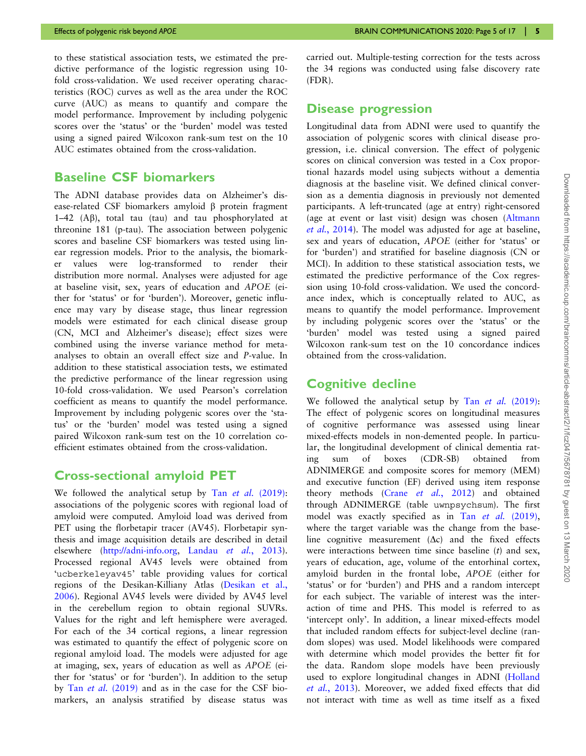to these statistical association tests, we estimated the predictive performance of the logistic regression using 10 fold cross-validation. We used receiver operating characteristics (ROC) curves as well as the area under the ROC curve (AUC) as means to quantify and compare the model performance. Improvement by including polygenic scores over the 'status' or the 'burden' model was tested using a signed paired Wilcoxon rank-sum test on the 10 AUC estimates obtained from the cross-validation.

## Baseline CSF biomarkers

The ADNI database provides data on Alzheimer's disease-related CSF biomarkers amyloid  $\beta$  protein fragment 1–42 (A $\beta$ ), total tau (tau) and tau phosphorylated at threonine 181 (p-tau). The association between polygenic scores and baseline CSF biomarkers was tested using linear regression models. Prior to the analysis, the biomarker values were log-transformed to render their distribution more normal. Analyses were adjusted for age at baseline visit, sex, years of education and APOE (either for 'status' or for 'burden'). Moreover, genetic influence may vary by disease stage, thus linear regression models were estimated for each clinical disease group (CN, MCI and Alzheimer's disease); effect sizes were combined using the inverse variance method for metaanalyses to obtain an overall effect size and P-value. In addition to these statistical association tests, we estimated the predictive performance of the linear regression using 10-fold cross-validation. We used Pearson's correlation coefficient as means to quantify the model performance. Improvement by including polygenic scores over the 'status' or the 'burden' model was tested using a signed paired Wilcoxon rank-sum test on the 10 correlation coefficient estimates obtained from the cross-validation.

## Cross-sectional amyloid PET

We followed the analytical setup by Tan et al. [\(2019\)](#page-12-0): associations of the polygenic scores with regional load of amyloid were computed. Amyloid load was derived from PET using the florbetapir tracer (AV45). Florbetapir synthesis and image acquisition details are described in detail elsewhere (<http://adni-info.org>, Landau et al.[, 2013\)](#page-11-0). Processed regional AV45 levels were obtained from 'ucberkeleyav45' table providing values for cortical regions of the Desikan-Killiany Atlas ([Desikan et al.,](#page-11-0) [2006\)](#page-11-0). Regional AV45 levels were divided by AV45 level in the cerebellum region to obtain regional SUVRs. Values for the right and left hemisphere were averaged. For each of the 34 cortical regions, a linear regression was estimated to quantify the effect of polygenic score on regional amyloid load. The models were adjusted for age at imaging, sex, years of education as well as APOE (either for 'status' or for 'burden'). In addition to the setup by Tan et al. [\(2019\)](#page-12-0) and as in the case for the CSF biomarkers, an analysis stratified by disease status was carried out. Multiple-testing correction for the tests across the 34 regions was conducted using false discovery rate (FDR).

## Disease progression

Longitudinal data from ADNI were used to quantify the association of polygenic scores with clinical disease progression, i.e. clinical conversion. The effect of polygenic scores on clinical conversion was tested in a Cox proportional hazards model using subjects without a dementia diagnosis at the baseline visit. We defined clinical conversion as a dementia diagnosis in previously not demented participants. A left-truncated (age at entry) right-censored (age at event or last visit) design was chosen ([Altmann](#page-11-0) et al.[, 2014](#page-11-0)). The model was adjusted for age at baseline, sex and years of education, APOE (either for 'status' or for 'burden') and stratified for baseline diagnosis (CN or MCI). In addition to these statistical association tests, we estimated the predictive performance of the Cox regression using 10-fold cross-validation. We used the concordance index, which is conceptually related to AUC, as means to quantify the model performance. Improvement by including polygenic scores over the 'status' or the 'burden' model was tested using a signed paired Wilcoxon rank-sum test on the 10 concordance indices obtained from the cross-validation.

## Cognitive decline

We followed the analytical setup by Tan et al. [\(2019\):](#page-12-0) The effect of polygenic scores on longitudinal measures of cognitive performance was assessed using linear mixed-effects models in non-demented people. In particular, the longitudinal development of clinical dementia rating sum of boxes (CDR-SB) obtained from ADNIMERGE and composite scores for memory (MEM) and executive function (EF) derived using item response theory methods (Crane et al.[, 2012](#page-11-0)) and obtained through ADNIMERGE (table uwnpsychsum). The first model was exactly specified as in Tan et al. [\(2019\),](#page-12-0) where the target variable was the change from the baseline cognitive measurement  $(\Delta c)$  and the fixed effects were interactions between time since baseline  $(t)$  and sex, years of education, age, volume of the entorhinal cortex, amyloid burden in the frontal lobe, APOE (either for 'status' or for 'burden') and PHS and a random intercept for each subject. The variable of interest was the interaction of time and PHS. This model is referred to as 'intercept only'. In addition, a linear mixed-effects model that included random effects for subject-level decline (random slopes) was used. Model likelihoods were compared with determine which model provides the better fit for the data. Random slope models have been previously used to explore longitudinal changes in ADNI ([Holland](#page-11-0) et al.[, 2013\)](#page-11-0). Moreover, we added fixed effects that did not interact with time as well as time itself as a fixed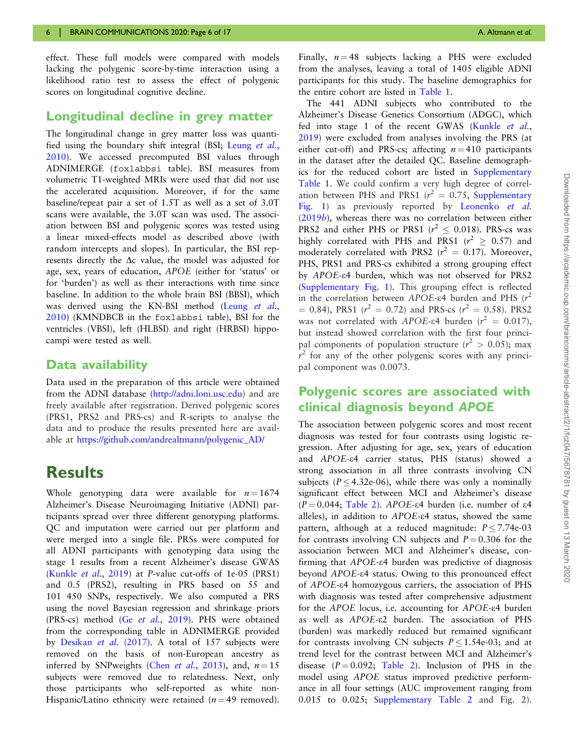effect. These full models were compared with models lacking the polygenic score-by-time interaction using a likelihood ratio test to assess the effect of polygenic scores on longitudinal cognitive decline.

#### Longitudinal decline in grey matter

The longitudinal change in grey matter loss was quantified using the boundary shift integral (BSI; [Leung](#page-12-0) et al., [2010](#page-12-0)). We accessed precomputed BSI values through ADNIMERGE (foxlabbsi table). BSI measures from volumetric T1-weighted MRIs were used that did not use the accelerated acquisition. Moreover, if for the same baseline/repeat pair a set of 1.5T as well as a set of 3.0T scans were available, the 3.0T scan was used. The association between BSI and polygenic scores was tested using a linear mixed-effects model as described above (with random intercepts and slopes). In particular, the BSI represents directly the  $\Delta c$  value, the model was adjusted for age, sex, years of education, APOE (either for 'status' or for 'burden') as well as their interactions with time since baseline. In addition to the whole brain BSI (BBSI), which was derived using the KN-BSI method ([Leung](#page-12-0) et al., [2010](#page-12-0)) (KMNDBCB in the foxlabbsi table), BSI for the ventricles (VBSI), left (HLBSI) and right (HRBSI) hippocampi were tested as well.

#### Data availability

Data used in the preparation of this article were obtained from the ADNI database (<http://adni.loni.usc.edu>) and are freely available after registration. Derived polygenic scores (PRS1, PRS2 and PRS-cs) and R-scripts to analyse the data and to produce the results presented here are available at [https://github.com/andrealtmann/polygenic\\_AD/](https://github.com/andrealtmann/polygenic_AD/)

## **Results**

Whole genotyping data were available for  $n = 1674$ Alzheimer's Disease Neuroimaging Initiative (ADNI) participants spread over three different genotyping platforms. QC and imputation were carried out per platform and were merged into a single file. PRSs were computed for all ADNI participants with genotyping data using the stage 1 results from a recent Alzheimer's disease GWAS [\(Kunkle](#page-11-0) et al., 2019) at P-value cut-offs of 1e-05 (PRS1) and 0.5 (PRS2), resulting in PRS based on 55 and 101 450 SNPs, respectively. We also computed a PRS using the novel Bayesian regression and shrinkage priors (PRS-cs) method (Ge et al.[, 2019\)](#page-11-0). PHS were obtained from the corresponding table in ADNIMERGE provided by [Desikan](#page-11-0) et al. (2017). A total of 157 subjects were removed on the basis of non-European ancestry as inferred by SNPweights (Chen *et al.*[, 2013\)](#page-11-0), and,  $n = 15$ subjects were removed due to relatedness. Next, only those participants who self-reported as white non-Hispanic/Latino ethnicity were retained  $(n = 49$  removed).

The 441 ADNI subjects who contributed to the Alzheimer's Disease Genetics Consortium (ADGC), which fed into stage 1 of the recent GWAS [\(Kunkle](#page-11-0) et al., [2019](#page-11-0)) were excluded from analyses involving the PRS (at either cut-off) and PRS-cs; affecting  $n = 410$  participants in the dataset after the detailed QC. Baseline demographics for the reduced cohort are listed in [Supplementary](https://academic.oup.com/braincomms/article-lookup/doi/10.1093/braincomms/fcz047#supplementary-data) [Table 1.](https://academic.oup.com/braincomms/article-lookup/doi/10.1093/braincomms/fcz047#supplementary-data) We could confirm a very high degree of correlation between PHS and PRS1 ( $r^2 = 0.75$ , [Supplementary](https://academic.oup.com/braincomms/article-lookup/doi/10.1093/braincomms/fcz047#supplementary-data) [Fig. 1](https://academic.oup.com/braincomms/article-lookup/doi/10.1093/braincomms/fcz047#supplementary-data)) as previously reported by [Leonenko](#page-11-0) *et al.* [\(2019](#page-11-0)b), whereas there was no correlation between either PRS2 and either PHS or PRS1 ( $r^2 \le 0.018$ ). PRS-cs was highly correlated with PHS and PRS1 ( $r^2 \ge 0.57$ ) and moderately correlated with PRS2 ( $r^2 = 0.17$ ). Moreover, PHS, PRS1 and PRS-cs exhibited a strong grouping effect by APOE-e4 burden, which was not observed for PRS2 [\(Supplementary Fig. 1\)](https://academic.oup.com/braincomms/article-lookup/doi/10.1093/braincomms/fcz047#supplementary-data). This grouping effect is reflected in the correlation between  $APOE- E4$  burden and PHS ( $r^2$  $= 0.84$ ), PRS1 ( $r^2 = 0.72$ ) and PRS-cs ( $r^2 = 0.58$ ). PRS2 was not correlated with APOE- $\epsilon$ 4 burden ( $r^2 = 0.017$ ), but instead showed correlation with the first four principal components of population structure ( $r^2 > 0.05$ ); max  $r^2$  for any of the other polygenic scores with any principal component was 0.0073.

## Polygenic scores are associated with clinical diagnosis beyond APOE

The association between polygenic scores and most recent diagnosis was tested for four contrasts using logistic regression. After adjusting for age, sex, years of education and APOE-e4 carrier status, PHS (status) showed a strong association in all three contrasts involving CN subjects ( $P \leq 4.32e-06$ ), while there was only a nominally significant effect between MCI and Alzheimer's disease  $(P = 0.044;$  [Table 2\)](#page-6-0). APOE- $\varepsilon$ 4 burden (i.e. number of  $\varepsilon$ 4 alleles), in addition to APOE-e4 status, showed the same pattern, although at a reduced magnitude:  $P \le 7.74e-03$ for contrasts involving CN subjects and  $P = 0.306$  for the association between MCI and Alzheimer's disease, confirming that APOE-e4 burden was predictive of diagnosis beyond APOE-e4 status. Owing to this pronounced effect of APOE-e4 homozygous carriers, the association of PHS with diagnosis was tested after comprehensive adjustment for the APOE locus, i.e. accounting for APOE-e4 burden as well as APOE-e2 burden. The association of PHS (burden) was markedly reduced but remained significant for contrasts involving CN subjects  $P \le 1.54e-03$ ; and at trend level for the contrast between MCI and Alzheimer's disease  $(P = 0.092;$  [Table 2\)](#page-6-0). Inclusion of PHS in the model using APOE status improved predictive performance in all four settings (AUC improvement ranging from 0.015 to 0.025; [Supplementary Table 2](https://academic.oup.com/braincomms/article-lookup/doi/10.1093/braincomms/fcz047#supplementary-data) and Fig. 2).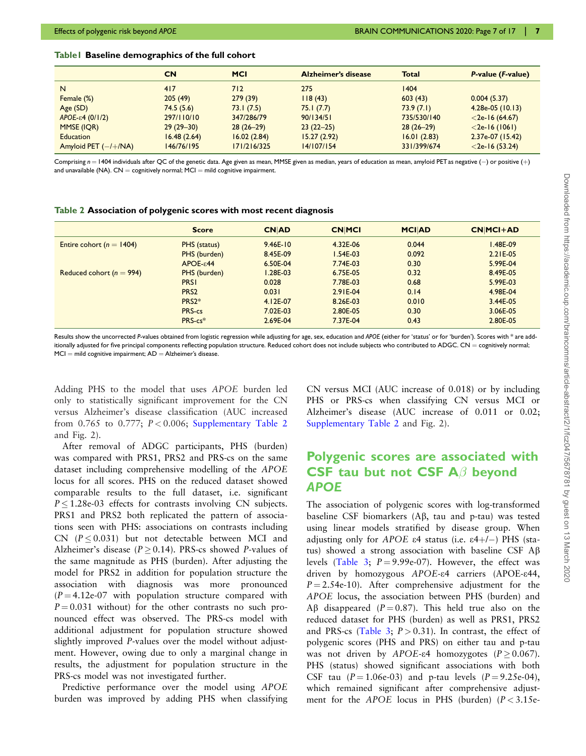#### <span id="page-6-0"></span>Table1 Baseline demographics of the full cohort

|                        | <b>CN</b>   | <b>MCI</b>  | Alzheimer's disease | <b>Total</b> | P-value (F-value) |
|------------------------|-------------|-------------|---------------------|--------------|-------------------|
| N                      | 417         | 712         | 275                 | 1404         |                   |
| Female (%)             | 205(49)     | 279(39)     | 118(43)             | 603(43)      | 0.004(5.37)       |
| Age (SD)               | 74.5(5.6)   | 73.1(7.5)   | 75.1(7.7)           | 73.9(7.1)    | $4.28e-05(10.13)$ |
| $APOE-ε4$ (0/1/2)      | 297/110/10  | 347/286/79  | 90/134/51           | 735/530/140  | $<$ 2e-16 (64.67) |
| MMSE (IQR)             | $29(29-30)$ | $28(26-29)$ | $23(22-25)$         | $28(26-29)$  | $<$ 2e-16 (1061)  |
| <b>Education</b>       | 16.48(2.64) | 16.02(2.84) | 15.27(2.92)         | 16.01(2.83)  | 2.37e-07 (15.42)  |
| Amyloid PET $(-/+/NA)$ | 146/76/195  | 171/216/325 | 14/107/154          | 331/399/674  | $<$ 2e-16 (53.24) |

Comprising  $n = 1404$  individuals after OC of the genetic data. Age given as mean, MMSE given as median, years of education as mean, amyloid PET as negative  $(-)$  or positive  $(+)$ and unavailable (NA).  $CN =$  cognitively normal; MCI  $=$  mild cognitive impairment.

|  |  |  |  |  |  | Table 2 Association of polygenic scores with most recent diagnosis |
|--|--|--|--|--|--|--------------------------------------------------------------------|
|--|--|--|--|--|--|--------------------------------------------------------------------|

|                              | <b>Score</b>       | <b>CNAD</b>  | <b>CNMCI</b> | <b>MCIAD</b> | <b>CNMCI+AD</b> |
|------------------------------|--------------------|--------------|--------------|--------------|-----------------|
| Entire cohort ( $n = 1404$ ) | PHS (status)       | $9.46E - 10$ | 4.32E-06     | 0.044        | L48E-09         |
|                              | PHS (burden)       | 8.45E-09     | $1.54E-03$   | 0.092        | $2.21E-0.5$     |
|                              | $APOE-E44$         | 6.50E-04     | 7.74E-03     | 0.30         | 5.99E-04        |
| Reduced cohort ( $n = 994$ ) | PHS (burden)       | $1.28E-03$   | 6.75E-05     | 0.32         | 8.49E-05        |
|                              | <b>PRS1</b>        | 0.028        | 7.78E-03     | 0.68         | 5.99E-03        |
|                              | PRS <sub>2</sub>   | 0.031        | $2.91E-04$   | 0.14         | 4.98E-04        |
|                              | PRS <sub>2</sub> * | 4.12E-07     | 8.26E-03     | 0.010        | 3.44E-05        |
|                              | <b>PRS-cs</b>      | 7.02E-03     | 2.80E-05     | 0.30         | 3.06E-05        |
|                              | $PRS-cs*$          | 2.69E-04     | 7.37E-04     | 0.43         | 2.80E-05        |

Results show the uncorrected P-values obtained from logistic regression while adjusting for age, sex, education and APOE (either for 'status' or for 'burden'). Scores with \* are additionally adjusted for five principal components reflecting population structure. Reduced cohort does not include subjects who contributed to ADGC. CN = cognitively normal;  $MCI = mild$  cognitive impairment;  $AD =$  Alzheimer's disease.

Adding PHS to the model that uses APOE burden led only to statistically significant improvement for the CN versus Alzheimer's disease classification (AUC increased from 0.765 to 0.777;  $P < 0.006$ ; [Supplementary Table 2](https://academic.oup.com/braincomms/article-lookup/doi/10.1093/braincomms/fcz047#supplementary-data) and Fig. 2).

After removal of ADGC participants, PHS (burden) was compared with PRS1, PRS2 and PRS-cs on the same dataset including comprehensive modelling of the APOE locus for all scores. PHS on the reduced dataset showed comparable results to the full dataset, i.e. significant  $P < 1.28e-03$  effects for contrasts involving CN subjects. PRS1 and PRS2 both replicated the pattern of associations seen with PHS: associations on contrasts including  $CN$  ( $P < 0.031$ ) but not detectable between MCI and Alzheimer's disease ( $P \ge 0.14$ ). PRS-cs showed P-values of the same magnitude as PHS (burden). After adjusting the model for PRS2 in addition for population structure the association with diagnosis was more pronounced  $(P = 4.12e-07$  with population structure compared with  $P = 0.031$  without) for the other contrasts no such pronounced effect was observed. The PRS-cs model with additional adjustment for population structure showed slightly improved P-values over the model without adjustment. However, owing due to only a marginal change in results, the adjustment for population structure in the PRS-cs model was not investigated further.

Predictive performance over the model using APOE burden was improved by adding PHS when classifying CN versus MCI (AUC increase of 0.018) or by including PHS or PRS-cs when classifying CN versus MCI or Alzheimer's disease (AUC increase of 0.011 or 0.02; [Supplementary Table 2](https://academic.oup.com/braincomms/article-lookup/doi/10.1093/braincomms/fcz047#supplementary-data) and Fig. 2).

## Polygenic scores are associated with CSF tau but not CSF  $A\beta$  beyond APOE

The association of polygenic scores with log-transformed baseline CSF biomarkers  $(A\beta, \tau)$  tau and p-tau) was tested using linear models stratified by disease group. When adjusting only for APOE  $\varepsilon$ 4 status (i.e.  $\varepsilon$ 4+/-) PHS (status) showed a strong association with baseline CSF Ab levels [\(Table 3](#page-7-0);  $P = 9.99e-07$ ). However, the effect was driven by homozygous APOE-e4 carriers (APOE-e44,  $P = 2.54e-10$ . After comprehensive adjustment for the APOE locus, the association between PHS (burden) and A $\beta$  disappeared (P = 0.87). This held true also on the reduced dataset for PHS (burden) as well as PRS1, PRS2 and PRS-cs ([Table 3](#page-7-0);  $P > 0.31$ ). In contrast, the effect of polygenic scores (PHS and PRS) on either tau and p-tau was not driven by APOE- $\varepsilon$ 4 homozygotes (P  $\geq$  0.067). PHS (status) showed significant associations with both CSF tau  $(P = 1.06e-03)$  and p-tau levels  $(P = 9.25e-04)$ , which remained significant after comprehensive adjustment for the APOE locus in PHS (burden)  $(P < 3.15e$ -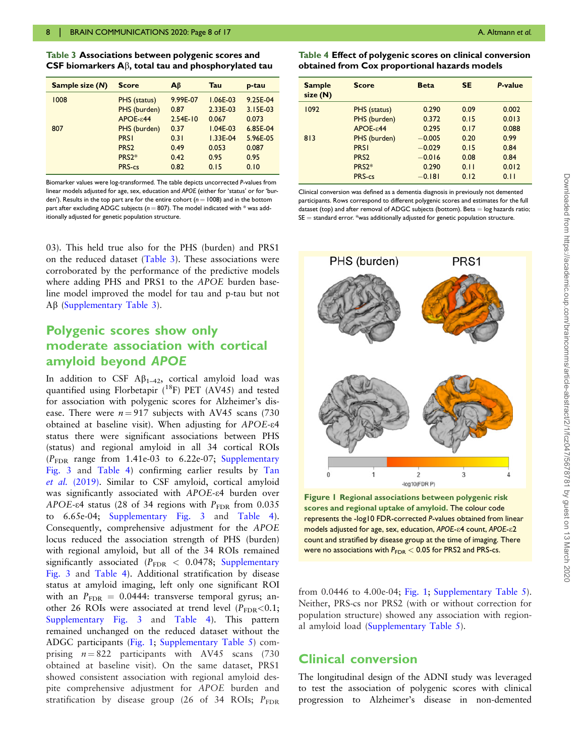#### <span id="page-7-0"></span>Table 3 Associations between polygenic scores and CSF biomarkers  $A\beta$ , total tau and phosphorylated tau

| Sample size (N) | <b>Score</b>       | Aβ         | Tau        | p-tau      |
|-----------------|--------------------|------------|------------|------------|
| 1008            | PHS (status)       | 9.99E-07   | $1.06E-03$ | 9.25E-04   |
|                 | PHS (burden)       | 0.87       | $2.33E-03$ | $3.15E-03$ |
|                 | $APOF-844$         | $2.54E-10$ | 0.067      | 0.073      |
| 807             | PHS (burden)       | 0.37       | $1.04E-03$ | 6.85E-04   |
|                 | <b>PRS1</b>        | 0.31       | $1.33E-04$ | 5.96E-05   |
|                 | PRS <sub>2</sub>   | 0.49       | 0.053      | 0.087      |
|                 | PRS <sub>2</sub> * | 0.42       | 0.95       | 0.95       |
|                 | PRS-cs             | 0.82       | 0.15       | 0.10       |

Biomarker values were log-transformed. The table depicts uncorrected P-values from linear models adjusted for age, sex, education and APOE (either for 'status' or for 'burden'). Results in the top part are for the entire cohort ( $n = 1008$ ) and in the bottom part after excluding ADGC subjects ( $n = 807$ ). The model indicated with  $*$  was additionally adjusted for genetic population structure.

03). This held true also for the PHS (burden) and PRS1 on the reduced dataset (Table 3). These associations were corroborated by the performance of the predictive models where adding PHS and PRS1 to the APOE burden baseline model improved the model for tau and p-tau but not Aβ [\(Supplementary Table 3\)](https://academic.oup.com/braincomms/article-lookup/doi/10.1093/braincomms/fcz047#supplementary-data).

## Polygenic scores show only moderate association with cortical amyloid beyond APOE

In addition to CSF  $\mathbf{A}\beta_{1-42}$ , cortical amyloid load was quantified using Florbetapir  $(^{18}F)$  PET (AV45) and tested for association with polygenic scores for Alzheimer's disease. There were  $n = 917$  subjects with AV45 scans (730) obtained at baseline visit). When adjusting for APOE-e4 status there were significant associations between PHS (status) and regional amyloid in all 34 cortical ROIs  $(P_{\rm FDR}$  range from 1.41e-03 to 6.22e-07; [Supplementary](https://academic.oup.com/braincomms/article-lookup/doi/10.1093/braincomms/fcz047#supplementary-data) [Fig. 3](https://academic.oup.com/braincomms/article-lookup/doi/10.1093/braincomms/fcz047#supplementary-data) and Table 4) confirming earlier results by [Tan](#page-12-0) et al. [\(2019\).](#page-12-0) Similar to CSF amyloid, cortical amyloid was significantly associated with APOE-e4 burden over APOE- $\varepsilon$ 4 status (28 of 34 regions with  $P_{\rm FDR}$  from 0.035 to 6.65e-04; [Supplementary Fig. 3](https://academic.oup.com/braincomms/article-lookup/doi/10.1093/braincomms/fcz047#supplementary-data) and Table 4). Consequently, comprehensive adjustment for the APOE locus reduced the association strength of PHS (burden) with regional amyloid, but all of the 34 ROIs remained significantly associated ( $P_{\text{FDR}} < 0.0478$ ; [Supplementary](https://academic.oup.com/braincomms/article-lookup/doi/10.1093/braincomms/fcz047#supplementary-data) [Fig. 3](https://academic.oup.com/braincomms/article-lookup/doi/10.1093/braincomms/fcz047#supplementary-data) and Table 4). Additional stratification by disease status at amyloid imaging, left only one significant ROI with an  $P_{\text{FDR}} = 0.0444$ : transverse temporal gyrus; another 26 ROIs were associated at trend level  $(P_{\text{FDR}}<0.1;$ [Supplementary Fig. 3](https://academic.oup.com/braincomms/article-lookup/doi/10.1093/braincomms/fcz047#supplementary-data) and Table 4). This pattern remained unchanged on the reduced dataset without the ADGC participants (Fig. 1; [Supplementary Table 5\)](https://academic.oup.com/braincomms/article-lookup/doi/10.1093/braincomms/fcz047#supplementary-data) comprising  $n = 822$  participants with AV45 scans (730) obtained at baseline visit). On the same dataset, PRS1 showed consistent association with regional amyloid despite comprehensive adjustment for APOE burden and stratification by disease group (26 of 34 ROIs;  $P_{\text{FDR}}$ 

Table 4 Effect of polygenic scores on clinical conversion obtained from Cox proportional hazards models

| <b>Sample</b><br>size(N) | <b>Score</b>       | <b>Beta</b> | <b>SE</b> | P-value |
|--------------------------|--------------------|-------------|-----------|---------|
| 1092                     | PHS (status)       | 0.290       | 0.09      | 0.002   |
|                          | PHS (burden)       | 0.372       | 0.15      | 0.013   |
|                          | $APOF-844$         | 0.295       | 0.17      | 0.088   |
| 813                      | PHS (burden)       | $-0.005$    | 0.20      | 0.99    |
|                          | <b>PRSI</b>        | $-0.029$    | 0.15      | 0.84    |
|                          | PRS <sub>2</sub>   | $-0.016$    | 0.08      | 0.84    |
|                          | PRS <sub>2</sub> * | 0.290       | 0.11      | 0.012   |
|                          | PRS-cs             | $-0.181$    | 0.12      | 0.11    |

Clinical conversion was defined as a dementia diagnosis in previously not demented participants. Rows correspond to different polygenic scores and estimates for the full dataset (top) and after removal of ADGC subjects (bottom). Beta  $=$  log hazards ratio;  $SE =$  standard error. \*was additionally adjusted for genetic population structure.



Figure 1 Regional associations between polygenic risk scores and regional uptake of amyloid. The colour code represents the -log10 FDR-corrected P-values obtained from linear models adjusted for age, sex, education, APOE-e4 count, APOE-e2 count and stratified by disease group at the time of imaging. There were no associations with  $P_{FDR}$  < 0.05 for PRS2 and PRS-cs.

from  $0.0446$  to  $4.00e-04$ ; Fig. 1; [Supplementary Table 5](https://academic.oup.com/braincomms/article-lookup/doi/10.1093/braincomms/fcz047#supplementary-data)). Neither, PRS-cs nor PRS2 (with or without correction for population structure) showed any association with regional amyloid load ([Supplementary Table 5](https://academic.oup.com/braincomms/article-lookup/doi/10.1093/braincomms/fcz047#supplementary-data)).

## Clinical conversion

The longitudinal design of the ADNI study was leveraged to test the association of polygenic scores with clinical progression to Alzheimer's disease in non-demented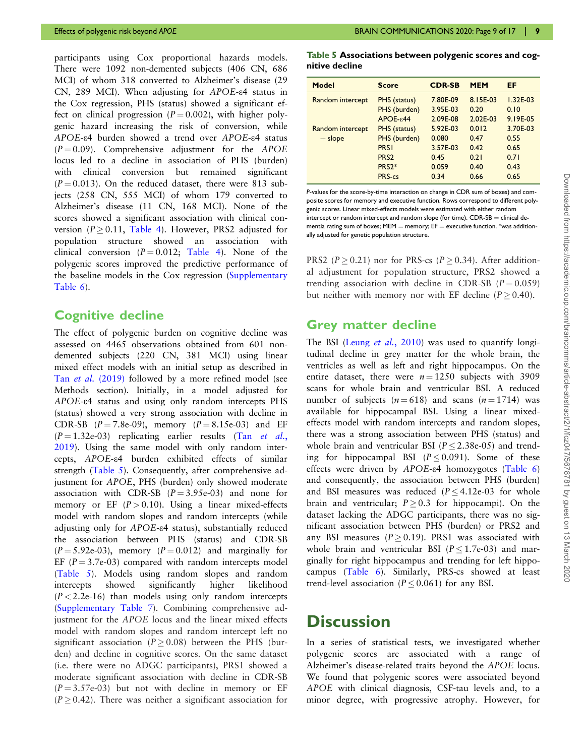participants using Cox proportional hazards models. There were 1092 non-demented subjects (406 CN, 686 MCI) of whom 318 converted to Alzheimer's disease (29 CN, 289 MCI). When adjusting for APOE-e4 status in the Cox regression, PHS (status) showed a significant effect on clinical progression ( $P = 0.002$ ), with higher polygenic hazard increasing the risk of conversion, while APOE-e4 burden showed a trend over APOE-e4 status  $(P = 0.09)$ . Comprehensive adjustment for the APOE locus led to a decline in association of PHS (burden) with clinical conversion but remained significant  $(P = 0.013)$ . On the reduced dataset, there were 813 subjects (258 CN, 555 MCI) of whom 179 converted to Alzheimer's disease (11 CN, 168 MCI). None of the scores showed a significant association with clinical conversion ( $P \geq 0.11$ , [Table 4](#page-7-0)). However, PRS2 adjusted for population structure showed an association with clinical conversion ( $P = 0.012$ ; [Table 4\)](#page-7-0). None of the polygenic scores improved the predictive performance of the baseline models in the Cox regression ([Supplementary](https://academic.oup.com/braincomms/article-lookup/doi/10.1093/braincomms/fcz047#supplementary-data) [Table 6\)](https://academic.oup.com/braincomms/article-lookup/doi/10.1093/braincomms/fcz047#supplementary-data).

#### Cognitive decline

The effect of polygenic burden on cognitive decline was assessed on 4465 observations obtained from 601 nondemented subjects (220 CN, 381 MCI) using linear mixed effect models with an initial setup as described in Tan et al. [\(2019\)](#page-12-0) followed by a more refined model (see Methods section). Initially, in a model adjusted for APOE-e4 status and using only random intercepts PHS (status) showed a very strong association with decline in CDR-SB  $(P = 7.8e-0.9)$ , memory  $(P = 8.15e-0.3)$  and EF  $(P = 1.32e-03)$  replicating earlier results (Tan *[et al.](#page-12-0)*, [2019\)](#page-12-0). Using the same model with only random intercepts, APOE-e4 burden exhibited effects of similar strength (Table 5). Consequently, after comprehensive adjustment for APOE, PHS (burden) only showed moderate association with CDR-SB  $(P = 3.95e-03)$  and none for memory or EF  $(P > 0.10)$ . Using a linear mixed-effects model with random slopes and random intercepts (while adjusting only for APOE-e4 status), substantially reduced the association between PHS (status) and CDR-SB  $(P = 5.92e-03)$ , memory  $(P = 0.012)$  and marginally for EF ( $P = 3.7e-03$ ) compared with random intercepts model (Table 5). Models using random slopes and random intercepts showed significantly higher likelihood  $(P < 2.2e-16)$  than models using only random intercepts ([Supplementary Table 7\)](https://academic.oup.com/braincomms/article-lookup/doi/10.1093/braincomms/fcz047#supplementary-data). Combining comprehensive adjustment for the APOE locus and the linear mixed effects model with random slopes and random intercept left no significant association ( $P \ge 0.08$ ) between the PHS (burden) and decline in cognitive scores. On the same dataset (i.e. there were no ADGC participants), PRS1 showed a moderate significant association with decline in CDR-SB  $(P = 3.57e-03)$  but not with decline in memory or EF  $(P \ge 0.42)$ . There was neither a significant association for

Table 5 Associations between polygenic scores and cognitive decline

| Model            | <b>Score</b>                 | <b>CDR-SB</b>        | <b>MEM</b>       | EF                 |
|------------------|------------------------------|----------------------|------------------|--------------------|
| Random intercept | PHS (status)                 | 7.80E-09<br>3.95E-03 | 8.15F-03<br>0.20 | $1.32E-03$<br>0.10 |
|                  | PHS (burden)<br>$APOF-644$   | 2.09E-08             | 2.02E-03         | 9.19E-05           |
| Random intercept | PHS (status)                 | $5.92F-03$           | 0.012            | 3.70E-03           |
| $+$ slope        | PHS (burden)                 | 0.080                | 0.47             | 0.55               |
|                  | <b>PRS1</b>                  | 3.57E-03             | 0.42             | 0.65               |
|                  | PR <sub>S2</sub>             | 0.45                 | 0.21             | 0.71               |
|                  | PRS <sub>2</sub> *<br>PRS-cs | 0.059<br>0.34        | 0.40<br>0.66     | 0.43<br>0.65       |
|                  |                              |                      |                  |                    |

P-values for the score-by-time interaction on change in CDR sum of boxes) and composite scores for memory and executive function. Rows correspond to different polygenic scores. Linear mixed-effects models were estimated with either random intercept or random intercept and random slope (for time).  $CDR-SB =$  clinical dementia rating sum of boxes;  $MEM =$  memory;  $EF =$  executive function. \*was additionally adjusted for genetic population structure.

PRS2 ( $P \ge 0.21$ ) nor for PRS-cs ( $P \ge 0.34$ ). After additional adjustment for population structure, PRS2 showed a trending association with decline in CDR-SB ( $P = 0.059$ ) but neither with memory nor with EF decline ( $P \ge 0.40$ ).

#### Grey matter decline

The BSI (Leung *et al.*[, 2010](#page-12-0)) was used to quantify longitudinal decline in grey matter for the whole brain, the ventricles as well as left and right hippocampus. On the entire dataset, there were  $n = 1250$  subjects with 3909 scans for whole brain and ventricular BSI. A reduced number of subjects  $(n = 618)$  and scans  $(n = 1714)$  was available for hippocampal BSI. Using a linear mixedeffects model with random intercepts and random slopes, there was a strong association between PHS (status) and whole brain and ventricular BSI ( $P < 2.38e-0.5$ ) and trending for hippocampal BSI ( $P \le 0.091$ ). Some of these effects were driven by APOE-e4 homozygotes [\(Table 6](#page-9-0)) and consequently, the association between PHS (burden) and BSI measures was reduced  $(P < 4.12e-03$  for whole brain and ventricular;  $P \geq 0.3$  for hippocampi). On the dataset lacking the ADGC participants, there was no significant association between PHS (burden) or PRS2 and any BSI measures ( $P \ge 0.19$ ). PRS1 was associated with whole brain and ventricular BSI  $(P < 1.7e-03)$  and marginally for right hippocampus and trending for left hippocampus [\(Table 6\)](#page-9-0). Similarly, PRS-cs showed at least trend-level association ( $P \le 0.061$ ) for any BSI.

## **Discussion**

In a series of statistical tests, we investigated whether polygenic scores are associated with a range of Alzheimer's disease-related traits beyond the APOE locus. We found that polygenic scores were associated beyond APOE with clinical diagnosis, CSF-tau levels and, to a minor degree, with progressive atrophy. However, for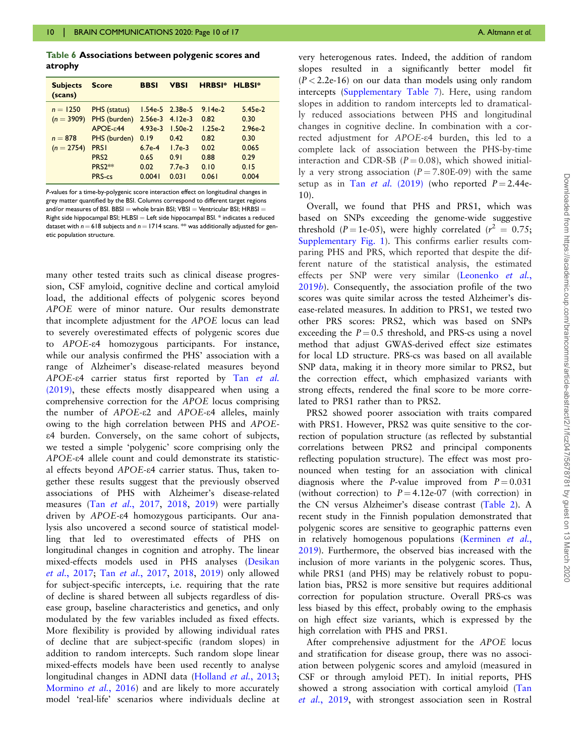<span id="page-9-0"></span>Table 6 Associations between polygenic scores and atrophy

| <b>Subjects</b><br>(scans) | <b>Score</b>        | <b>BBSI</b> | <b>VBSI</b>       | <b>HRBSI*</b> | <b>HLBSI*</b> |
|----------------------------|---------------------|-------------|-------------------|---------------|---------------|
| $n = 1250$                 | PHS (status)        |             | $1.54e-5$ 2.38e-5 | $9.14e-2$     | $5.45e-2$     |
| $(n = 3909)$               | PHS (burden)        | $2.56e-3$   | $4.12e-3$         | 0.82          | 0.30          |
|                            | $APOE-844$          | $4.93e-3$   | $1.50e-2$         | $1.25e-2$     | $2.96e-2$     |
| $n = 878$                  | PHS (burden)        | 0.19        | 0.42              | 0.82          | 0.30          |
| $(n = 2754)$               | <b>PRS1</b>         | $6.7e-4$    | $1.7e-3$          | 0.02          | 0.065         |
|                            | PR <sub>S2</sub>    | 0.65        | 0.91              | 0.88          | 0.29          |
|                            | PRS <sub>2</sub> ** | 0.02        | $7.7e-3$          | 0.10          | 0.15          |
|                            | PRS-cs              | 0.0041      | 0.031             | 0.061         | 0.004         |
|                            |                     |             |                   |               |               |

P-values for a time-by-polygenic score interaction effect on longitudinal changes in grey matter quantified by the BSI. Columns correspond to different target regions and/or measures of BSI. BBSI = whole brain BSI; VBSI = Ventricular BSI; HRBSI = Right side hippocampal BSI;  $HLBSI = Let$ t side hippocampal BSI. \* indicates a reduced dataset with  $n = 618$  subjects and  $n = 1714$  scans. \*\* was additionally adjusted for genetic population structure.

many other tested traits such as clinical disease progression, CSF amyloid, cognitive decline and cortical amyloid load, the additional effects of polygenic scores beyond APOE were of minor nature. Our results demonstrate that incomplete adjustment for the APOE locus can lead to severely overestimated effects of polygenic scores due to APOE-e4 homozygous participants. For instance, while our analysis confirmed the PHS' association with a range of Alzheimer's disease-related measures beyond APOE-e4 carrier status first reported by Tan [et al.](#page-12-0) [\(2019\)](#page-12-0), these effects mostly disappeared when using a comprehensive correction for the APOE locus comprising the number of APOE-e2 and APOE-e4 alleles, mainly owing to the high correlation between PHS and APOEe4 burden. Conversely, on the same cohort of subjects, we tested a simple 'polygenic' score comprising only the APOE-e4 allele count and could demonstrate its statistical effects beyond APOE-e4 carrier status. Thus, taken together these results suggest that the previously observed associations of PHS with Alzheimer's disease-related measures (Tan et al.[, 2017,](#page-12-0) [2018,](#page-12-0) [2019\)](#page-12-0) were partially driven by APOE-e4 homozygous participants. Our analysis also uncovered a second source of statistical modelling that led to overestimated effects of PHS on longitudinal changes in cognition and atrophy. The linear mixed-effects models used in PHS analyses [\(Desikan](#page-11-0) et al.[, 2017;](#page-11-0) Tan et al.[, 2017,](#page-12-0) [2018,](#page-12-0) [2019\)](#page-12-0) only allowed for subject-specific intercepts, i.e. requiring that the rate of decline is shared between all subjects regardless of disease group, baseline characteristics and genetics, and only modulated by the few variables included as fixed effects. More flexibility is provided by allowing individual rates of decline that are subject-specific (random slopes) in addition to random intercepts. Such random slope linear mixed-effects models have been used recently to analyse longitudinal changes in ADNI data [\(Holland](#page-11-0) et al., 2013; [Mormino](#page-12-0) *et al.*, 2016) and are likely to more accurately model 'real-life' scenarios where individuals decline at

very heterogenous rates. Indeed, the addition of random slopes resulted in a significantly better model fit  $(P < 2.2e-16)$  on our data than models using only random intercepts [\(Supplementary Table 7\)](https://academic.oup.com/braincomms/article-lookup/doi/10.1093/braincomms/fcz047#supplementary-data). Here, using random slopes in addition to random intercepts led to dramatically reduced associations between PHS and longitudinal changes in cognitive decline. In combination with a corrected adjustment for APOE-e4 burden, this led to a complete lack of association between the PHS-by-time interaction and CDR-SB ( $P = 0.08$ ), which showed initially a very strong association ( $P = 7.80E-09$ ) with the same setup as in Tan *et al.* [\(2019\)](#page-12-0) (who reported  $P = 2.44e$ -10).

Overall, we found that PHS and PRS1, which was based on SNPs exceeding the genome-wide suggestive threshold (P = 1e-05), were highly correlated ( $r^2 = 0.75$ ; [Supplementary Fig. 1](https://academic.oup.com/braincomms/article-lookup/doi/10.1093/braincomms/fcz047#supplementary-data)). This confirms earlier results comparing PHS and PRS, which reported that despite the different nature of the statistical analysis, the estimated effects per SNP were very similar ([Leonenko](#page-11-0) et al., [2019](#page-11-0)b). Consequently, the association profile of the two scores was quite similar across the tested Alzheimer's disease-related measures. In addition to PRS1, we tested two other PRS scores: PRS2, which was based on SNPs exceeding the  $P = 0.5$  threshold, and PRS-cs using a novel method that adjust GWAS-derived effect size estimates for local LD structure. PRS-cs was based on all available SNP data, making it in theory more similar to PRS2, but the correction effect, which emphasized variants with strong effects, rendered the final score to be more correlated to PRS1 rather than to PRS2.

PRS2 showed poorer association with traits compared with PRS1. However, PRS2 was quite sensitive to the correction of population structure (as reflected by substantial correlations between PRS2 and principal components reflecting population structure). The effect was most pronounced when testing for an association with clinical diagnosis where the P-value improved from  $P = 0.031$ (without correction) to  $P = 4.12e-07$  (with correction) in the CN versus Alzheimer's disease contrast [\(Table 2](#page-6-0)). A recent study in the Finnish population demonstrated that polygenic scores are sensitive to geographic patterns even in relatively homogenous populations [\(Kerminen](#page-11-0) et al., [2019\)](#page-11-0). Furthermore, the observed bias increased with the inclusion of more variants in the polygenic scores. Thus, while PRS1 (and PHS) may be relatively robust to population bias, PRS2 is more sensitive but requires additional correction for population structure. Overall PRS-cs was less biased by this effect, probably owing to the emphasis on high effect size variants, which is expressed by the high correlation with PHS and PRS1.

After comprehensive adjustment for the APOE locus and stratification for disease group, there was no association between polygenic scores and amyloid (measured in CSF or through amyloid PET). In initial reports, PHS showed a strong association with cortical amyloid ([Tan](#page-12-0) et al.[, 2019](#page-12-0), with strongest association seen in Rostral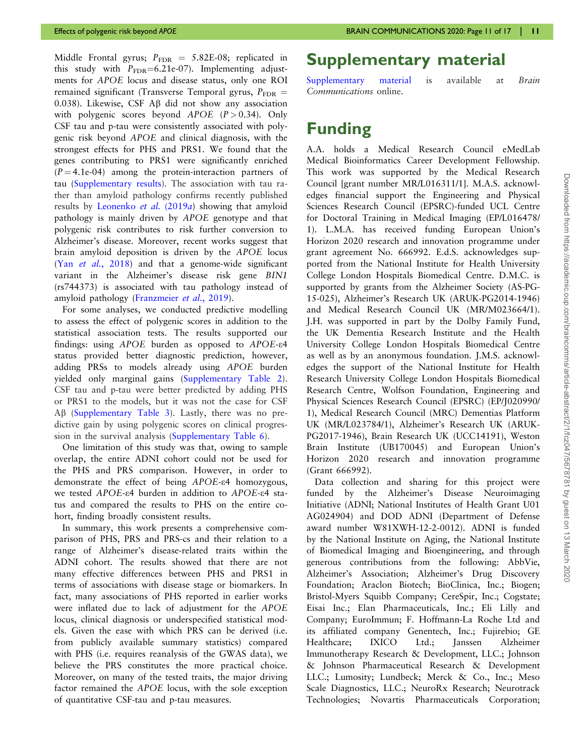Middle Frontal gyrus;  $P_{\text{FDR}} = 5.82E-08$ ; replicated in this study with  $P_{\text{FDR}}=6.21e-07$ . Implementing adjustments for APOE locus and disease status, only one ROI remained significant (Transverse Temporal gyrus,  $P_{\text{FDR}} =$ 0.038). Likewise, CSF A $\beta$  did not show any association with polygenic scores beyond  $APOE$  ( $P > 0.34$ ). Only CSF tau and p-tau were consistently associated with polygenic risk beyond APOE and clinical diagnosis, with the strongest effects for PHS and PRS1. We found that the genes contributing to PRS1 were significantly enriched  $(P = 4.1e-04)$  among the protein-interaction partners of tau [\(Supplementary results\)](https://academic.oup.com/braincomms/article-lookup/doi/10.1093/braincomms/fcz047#supplementary-data). The association with tau rather than amyloid pathology confirms recently published results by [Leonenko](#page-11-0) et al. (2019a) showing that amyloid pathology is mainly driven by APOE genotype and that polygenic risk contributes to risk further conversion to Alzheimer's disease. Moreover, recent works suggest that brain amyloid deposition is driven by the APOE locus (Yan et al.[, 2018\)](#page-12-0) and that a genome-wide significant variant in the Alzheimer's disease risk gene BIN1 (rs744373) is associated with tau pathology instead of amyloid pathology [\(Franzmeier](#page-11-0) et al., 2019).

For some analyses, we conducted predictive modelling to assess the effect of polygenic scores in addition to the statistical association tests. The results supported our findings: using APOE burden as opposed to APOE-e4 status provided better diagnostic prediction, however, adding PRSs to models already using APOE burden yielded only marginal gains ([Supplementary Table 2\)](https://academic.oup.com/braincomms/article-lookup/doi/10.1093/braincomms/fcz047#supplementary-data). CSF tau and p-tau were better predicted by adding PHS or PRS1 to the models, but it was not the case for CSF  $\text{A}\beta$  [\(Supplementary Table 3](https://academic.oup.com/braincomms/article-lookup/doi/10.1093/braincomms/fcz047#supplementary-data)). Lastly, there was no predictive gain by using polygenic scores on clinical progression in the survival analysis ([Supplementary Table 6](https://academic.oup.com/braincomms/article-lookup/doi/10.1093/braincomms/fcz047#supplementary-data)).

One limitation of this study was that, owing to sample overlap, the entire ADNI cohort could not be used for the PHS and PRS comparison. However, in order to demonstrate the effect of being APOE-e4 homozygous, we tested APOE-e4 burden in addition to APOE-e4 status and compared the results to PHS on the entire cohort, finding broadly consistent results.

In summary, this work presents a comprehensive comparison of PHS, PRS and PRS-cs and their relation to a range of Alzheimer's disease-related traits within the ADNI cohort. The results showed that there are not many effective differences between PHS and PRS1 in terms of associations with disease stage or biomarkers. In fact, many associations of PHS reported in earlier works were inflated due to lack of adjustment for the APOE locus, clinical diagnosis or underspecified statistical models. Given the ease with which PRS can be derived (i.e. from publicly available summary statistics) compared with PHS (i.e. requires reanalysis of the GWAS data), we believe the PRS constitutes the more practical choice. Moreover, on many of the tested traits, the major driving factor remained the APOE locus, with the sole exception of quantitative CSF-tau and p-tau measures.

## Supplementary material

[Supplementary material](https://academic.oup.com/braincomms/article-lookup/doi/10.1093/braincomms/fcz047#supplementary-data) is available at Brain Communications online.

## Funding

A.A. holds a Medical Research Council eMedLab Medical Bioinformatics Career Development Fellowship. This work was supported by the Medical Research Council [grant number MR/L016311/1]. M.A.S. acknowledges financial support the Engineering and Physical Sciences Research Council (EPSRC)-funded UCL Centre for Doctoral Training in Medical Imaging (EP/L016478/ 1). L.M.A. has received funding European Union's Horizon 2020 research and innovation programme under grant agreement No. 666992. E.d.S. acknowledges supported from the National Institute for Health University College London Hospitals Biomedical Centre. D.M.C. is supported by grants from the Alzheimer Society (AS-PG-15-025), Alzheimer's Research UK (ARUK-PG2014-1946) and Medical Research Council UK (MR/M023664/1). J.H. was supported in part by the Dolby Family Fund, the UK Dementia Research Institute and the Health University College London Hospitals Biomedical Centre as well as by an anonymous foundation. J.M.S. acknowledges the support of the National Institute for Health Research University College London Hospitals Biomedical Research Centre, Wolfson Foundation, Engineering and Physical Sciences Research Council (EPSRC) (EP/J020990/ 1), Medical Research Council (MRC) Dementias Platform UK (MR/L023784/1), Alzheimer's Research UK (ARUK-PG2017-1946), Brain Research UK (UCC14191), Weston Brain Institute (UB170045) and European Union's Horizon 2020 research and innovation programme (Grant 666992).

Data collection and sharing for this project were funded by the Alzheimer's Disease Neuroimaging Initiative (ADNI; National Institutes of Health Grant U01 AG024904) and DOD ADNI (Department of Defense award number W81XWH-12-2-0012). ADNI is funded by the National Institute on Aging, the National Institute of Biomedical Imaging and Bioengineering, and through generous contributions from the following: AbbVie, Alzheimer's Association; Alzheimer's Drug Discovery Foundation; Araclon Biotech; BioClinica, Inc.; Biogen; Bristol-Myers Squibb Company; CereSpir, Inc.; Cogstate; Eisai Inc.; Elan Pharmaceuticals, Inc.; Eli Lilly and Company; EuroImmun; F. Hoffmann-La Roche Ltd and its affiliated company Genentech, Inc.; Fujirebio; GE Healthcare; IXICO Ltd.; Janssen Alzheimer Immunotherapy Research & Development, LLC.; Johnson & Johnson Pharmaceutical Research & Development LLC.; Lumosity; Lundbeck; Merck & Co., Inc.; Meso Scale Diagnostics, LLC.; NeuroRx Research; Neurotrack Technologies; Novartis Pharmaceuticals Corporation;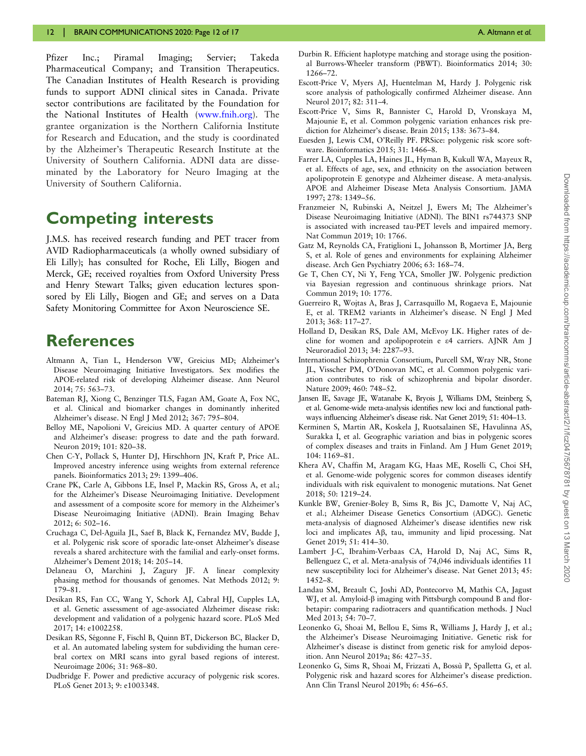<span id="page-11-0"></span>Pfizer Inc.; Piramal Imaging; Servier; Takeda Pharmaceutical Company; and Transition Therapeutics. The Canadian Institutes of Health Research is providing funds to support ADNI clinical sites in Canada. Private sector contributions are facilitated by the Foundation for the National Institutes of Health ([www.fnih.org\)](http://www.fnih.org). The grantee organization is the Northern California Institute for Research and Education, and the study is coordinated by the Alzheimer's Therapeutic Research Institute at the University of Southern California. ADNI data are disseminated by the Laboratory for Neuro Imaging at the University of Southern California.

## Competing interests

J.M.S. has received research funding and PET tracer from AVID Radiopharmaceuticals (a wholly owned subsidiary of Eli Lilly); has consulted for Roche, Eli Lilly, Biogen and Merck, GE; received royalties from Oxford University Press and Henry Stewart Talks; given education lectures sponsored by Eli Lilly, Biogen and GE; and serves on a Data Safety Monitoring Committee for Axon Neuroscience SE.

## **References**

- Altmann A, Tian L, Henderson VW, Greicius MD; Alzheimer's Disease Neuroimaging Initiative Investigators. Sex modifies the APOE-related risk of developing Alzheimer disease. Ann Neurol 2014; 75: 563–73.
- Bateman RJ, Xiong C, Benzinger TLS, Fagan AM, Goate A, Fox NC, et al. Clinical and biomarker changes in dominantly inherited Alzheimer's disease. N Engl J Med 2012; 367: 795–804.
- Belloy ME, Napolioni V, Greicius MD. A quarter century of APOE and Alzheimer's disease: progress to date and the path forward. Neuron 2019; 101: 820–38.
- Chen C-Y, Pollack S, Hunter DJ, Hirschhorn JN, Kraft P, Price AL. Improved ancestry inference using weights from external reference panels. Bioinformatics 2013; 29: 1399–406.
- Crane PK, Carle A, Gibbons LE, Insel P, Mackin RS, Gross A, et al.; for the Alzheimer's Disease Neuroimaging Initiative. Development and assessment of a composite score for memory in the Alzheimer's Disease Neuroimaging Initiative (ADNI). Brain Imaging Behav 2012; 6: 502–16.
- Cruchaga C, Del-Aguila JL, Saef B, Black K, Fernandez MV, Budde J, et al. Polygenic risk score of sporadic late-onset Alzheimer's disease reveals a shared architecture with the familial and early-onset forms. Alzheimer's Dement 2018; 14: 205–14.
- Delaneau O, Marchini J, Zagury JF. A linear complexity phasing method for thousands of genomes. Nat Methods 2012; 9: 179–81.
- Desikan RS, Fan CC, Wang Y, Schork AJ, Cabral HJ, Cupples LA, et al. Genetic assessment of age-associated Alzheimer disease risk: development and validation of a polygenic hazard score. PLoS Med 2017; 14: e1002258.
- Desikan RS, Ségonne F, Fischl B, Quinn BT, Dickerson BC, Blacker D, et al. An automated labeling system for subdividing the human cerebral cortex on MRI scans into gyral based regions of interest. Neuroimage 2006; 31: 968–80.
- Dudbridge F. Power and predictive accuracy of polygenic risk scores. PLoS Genet 2013; 9: e1003348.
- Durbin R. Efficient haplotype matching and storage using the positional Burrows-Wheeler transform (PBWT). Bioinformatics 2014; 30: 1266–72.
- Escott-Price V, Myers AJ, Huentelman M, Hardy J. Polygenic risk score analysis of pathologically confirmed Alzheimer disease. Ann Neurol 2017; 82: 311–4.
- Escott-Price V, Sims R, Bannister C, Harold D, Vronskaya M, Majounie E, et al. Common polygenic variation enhances risk prediction for Alzheimer's disease. Brain 2015; 138: 3673–84.
- Euesden J, Lewis CM, O'Reilly PF. PRSice: polygenic risk score software. Bioinformatics 2015; 31: 1466–8.
- Farrer LA, Cupples LA, Haines JL, Hyman B, Kukull WA, Mayeux R, et al. Effects of age, sex, and ethnicity on the association between apolipoprotein E genotype and Alzheimer disease. A meta-analysis. APOE and Alzheimer Disease Meta Analysis Consortium. JAMA 1997; 278: 1349–56.
- Franzmeier N, Rubinski A, Neitzel J, Ewers M; The Alzheimer's Disease Neuroimaging Initiative (ADNI). The BIN1 rs744373 SNP is associated with increased tau-PET levels and impaired memory. Nat Commun 2019; 10: 1766.
- Gatz M, Reynolds CA, Fratiglioni L, Johansson B, Mortimer JA, Berg S, et al. Role of genes and environments for explaining Alzheimer disease. Arch Gen Psychiatry 2006; 63: 168–74.
- Ge T, Chen CY, Ni Y, Feng YCA, Smoller JW. Polygenic prediction via Bayesian regression and continuous shrinkage priors. Nat Commun 2019; 10: 1776.
- Guerreiro R, Wojtas A, Bras J, Carrasquillo M, Rogaeva E, Majounie E, et al. TREM2 variants in Alzheimer's disease. N Engl J Med 2013; 368: 117–27.
- Holland D, Desikan RS, Dale AM, McEvoy LK. Higher rates of decline for women and apolipoprotein e e4 carriers. AJNR Am J Neuroradiol 2013; 34: 2287–93.
- International Schizophrenia Consortium, Purcell SM, Wray NR, Stone JL, Visscher PM, O'Donovan MC, et al. Common polygenic variation contributes to risk of schizophrenia and bipolar disorder. Nature 2009; 460: 748–52.
- Jansen IE, Savage JE, Watanabe K, Bryois J, Williams DM, Steinberg S, et al. Genome-wide meta-analysis identifies new loci and functional pathways influencing Alzheimer's disease risk. Nat Genet 2019; 51: 404–13.
- Kerminen S, Martin AR, Koskela J, Ruotsalainen SE, Havulinna AS, Surakka I, et al. Geographic variation and bias in polygenic scores of complex diseases and traits in Finland. Am J Hum Genet 2019; 104: 1169–81.
- Khera AV, Chaffin M, Aragam KG, Haas ME, Roselli C, Choi SH, et al. Genome-wide polygenic scores for common diseases identify individuals with risk equivalent to monogenic mutations. Nat Genet 2018; 50: 1219–24.
- Kunkle BW, Grenier-Boley B, Sims R, Bis JC, Damotte V, Naj AC, et al.; Alzheimer Disease Genetics Consortium (ADGC). Genetic meta-analysis of diagnosed Alzheimer's disease identifies new risk loci and implicates A $\beta$ , tau, immunity and lipid processing. Nat Genet 2019; 51: 414–30.
- Lambert J-C, Ibrahim-Verbaas CA, Harold D, Naj AC, Sims R, Bellenguez C, et al. Meta-analysis of 74,046 individuals identifies 11 new susceptibility loci for Alzheimer's disease. Nat Genet 2013; 45: 1452–8.
- Landau SM, Breault C, Joshi AD, Pontecorvo M, Mathis CA, Jagust WJ, et al. Amyloid- $\beta$  imaging with Pittsburgh compound B and florbetapir: comparing radiotracers and quantification methods. J Nucl Med 2013; 54: 70–7.
- Leonenko G, Shoai M, Bellou E, Sims R, Williams J, Hardy J, et al.; the Alzheimer's Disease Neuroimaging Initiative. Genetic risk for Alzheimer's disease is distinct from genetic risk for amyloid deposition. Ann Neurol 2019a; 86: 427–35.
- Leonenko G, Sims R, Shoai M, Frizzati A, Bossu` P, Spalletta G, et al. Polygenic risk and hazard scores for Alzheimer's disease prediction. Ann Clin Transl Neurol 2019b; 6: 456–65.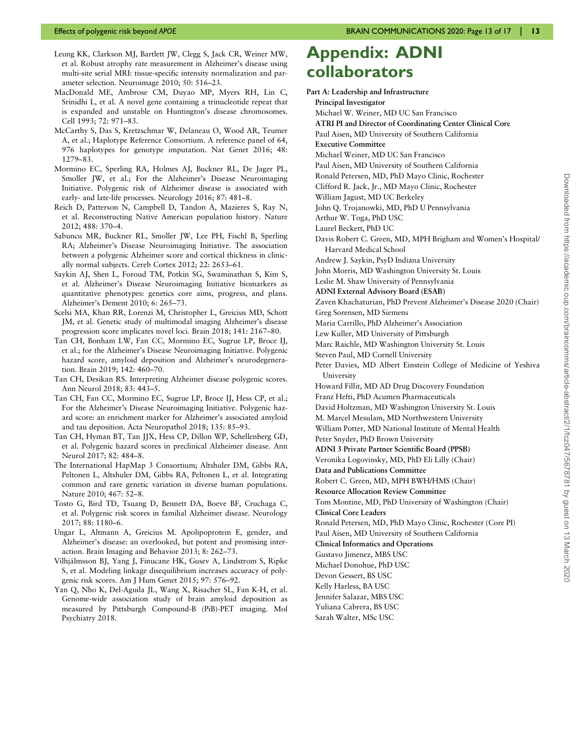- <span id="page-12-0"></span>Leung KK, Clarkson MJ, Bartlett JW, Clegg S, Jack CR, Weiner MW, et al. Robust atrophy rate measurement in Alzheimer's disease using multi-site serial MRI: tissue-specific intensity normalization and parameter selection. Neuroimage 2010; 50: 516–23.
- MacDonald ME, Ambrose CM, Duyao MP, Myers RH, Lin C, Srinidhi L, et al. A novel gene containing a trinucleotide repeat that is expanded and unstable on Huntington's disease chromosomes. Cell 1993; 72: 971–83.
- McCarthy S, Das S, Kretzschmar W, Delaneau O, Wood AR, Teumer A, et al.; Haplotype Reference Consortium. A reference panel of 64, 976 haplotypes for genotype imputation. Nat Genet 2016; 48: 1279–83.
- Mormino EC, Sperling RA, Holmes AJ, Buckner RL, De Jager PL, Smoller JW, et al.; For the Alzheimer's Disease Neuroimaging Initiative. Polygenic risk of Alzheimer disease is associated with early- and late-life processes. Neurology 2016; 87: 481–8.
- Reich D, Patterson N, Campbell D, Tandon A, Mazieres S, Ray N, et al. Reconstructing Native American population history. Nature 2012; 488: 370–4.
- Sabuncu MR, Buckner RL, Smoller JW, Lee PH, Fischl B, Sperling RA; Alzheimer's Disease Neuroimaging Initiative. The association between a polygenic Alzheimer score and cortical thickness in clinically normal subjects. Cereb Cortex 2012; 22: 2653–61.
- Saykin AJ, Shen L, Foroud TM, Potkin SG, Swaminathan S, Kim S, et al. Alzheimer's Disease Neuroimaging Initiative biomarkers as quantitative phenotypes: genetics core aims, progress, and plans. Alzheimer's Dement 2010; 6: 265–73.
- Scelsi MA, Khan RR, Lorenzi M, Christopher L, Greicius MD, Schott JM, et al. Genetic study of multimodal imaging Alzheimer's disease progression score implicates novel loci. Brain 2018; 141: 2167–80.
- Tan CH, Bonham LW, Fan CC, Mormino EC, Sugrue LP, Broce IJ, et al.; for the Alzheimer's Disease Neuroimaging Initiative. Polygenic hazard score, amyloid deposition and Alzheimer's neurodegeneration. Brain 2019; 142: 460–70.
- Tan CH, Desikan RS. Interpreting Alzheimer disease polygenic scores. Ann Neurol 2018; 83: 443–5.
- Tan CH, Fan CC, Mormino EC, Sugrue LP, Broce IJ, Hess CP, et al.; For the Alzheimer's Disease Neuroimaging Initiative. Polygenic hazard score: an enrichment marker for Alzheimer's associated amyloid and tau deposition. Acta Neuropathol 2018; 135: 85–93.
- Tan CH, Hyman BT, Tan JJX, Hess CP, Dillon WP, Schellenberg GD, et al. Polygenic hazard scores in preclinical Alzheimer disease. Ann Neurol 2017; 82: 484–8.
- The International HapMap 3 Consortium; Altshuler DM, Gibbs RA, Peltonen L, Altshuler DM, Gibbs RA, Peltonen L, et al. Integrating common and rare genetic variation in diverse human populations. Nature 2010; 467: 52–8.
- Tosto G, Bird TD, Tsuang D, Bennett DA, Boeve BF, Cruchaga C, et al. Polygenic risk scores in familial Alzheimer disease. Neurology 2017; 88: 1180–6.
- Ungar L, Altmann A, Greicius M. Apolipoprotein E, gender, and Alzheimer's disease: an overlooked, but potent and promising interaction. Brain Imaging and Behavior 2013; 8: 262–73.
- Vilhja´lmsson BJ, Yang J, Finucane HK, Gusev A, Lindstrom S, Ripke S, et al. Modeling linkage disequilibrium increases accuracy of polygenic risk scores. Am J Hum Genet 2015; 97: 576–92.
- Yan Q, Nho K, Del-Aguila JL, Wang X, Risacher SL, Fan K-H, et al. Genome-wide association study of brain amyloid deposition as measured by Pittsburgh Compound-B (PiB)-PET imaging. Mol Psychiatry 2018.

## Appendix: ADNI collaborators

Part A: Leadership and Infrastructure Principal Investigator Michael W. Weiner, MD UC San Francisco ATRI PI and Director of Coordinating Center Clinical Core Paul Aisen, MD University of Southern California Executive Committee Michael Weiner, MD UC San Francisco Paul Aisen, MD University of Southern California Ronald Petersen, MD, PhD Mayo Clinic, Rochester Clifford R. Jack, Jr., MD Mayo Clinic, Rochester William Jagust, MD UC Berkeley John Q. Trojanowki, MD, PhD U Pennsylvania Arthur W. Toga, PhD USC Laurel Beckett, PhD UC Davis Robert C. Green, MD, MPH Brigham and Women's Hospital/ Harvard Medical School Andrew J. Saykin, PsyD Indiana University John Morris, MD Washington University St. Louis Leslie M. Shaw University of Pennsylvania ADNI External Advisory Board (ESAB) Zaven Khachaturian, PhD Prevent Alzheimer's Disease 2020 (Chair) Greg Sorensen, MD Siemens Maria Carrillo, PhD Alzheimer's Association Lew Kuller, MD University of Pittsburgh Marc Raichle, MD Washington University St. Louis Steven Paul, MD Cornell University Peter Davies, MD Albert Einstein College of Medicine of Yeshiva University Howard Fillit, MD AD Drug Discovery Foundation Franz Hefti, PhD Acumen Pharmaceuticals David Holtzman, MD Washington University St. Louis M. Marcel Mesulam, MD Northwestern University William Potter, MD National Institute of Mental Health Peter Snyder, PhD Brown University ADNI 3 Private Partner Scientific Board (PPSB) Veronika Logovinsky, MD, PhD Eli Lilly (Chair) Data and Publications Committee Robert C. Green, MD, MPH BWH/HMS (Chair) Resource Allocation Review Committee Tom Montine, MD, PhD University of Washington (Chair) Clinical Core Leaders Ronald Petersen, MD, PhD Mayo Clinic, Rochester (Core PI) Paul Aisen, MD University of Southern California Clinical Informatics and Operations Gustavo Jimenez, MBS USC Michael Donohue, PhD USC Devon Gessert, BS USC Kelly Harless, BA USC Jennifer Salazar, MBS USC Yuliana Cabrera, BS USC

Sarah Walter, MSc USC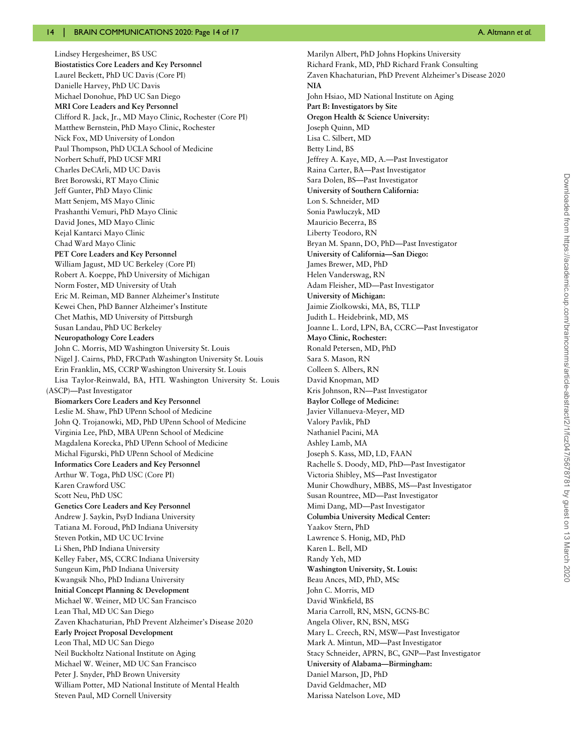Lindsey Hergesheimer, BS USC Biostatistics Core Leaders and Key Personnel Laurel Beckett, PhD UC Davis (Core PI) Danielle Harvey, PhD UC Davis Michael Donohue, PhD UC San Diego MRI Core Leaders and Key Personnel Clifford R. Jack, Jr., MD Mayo Clinic, Rochester (Core PI) Matthew Bernstein, PhD Mayo Clinic, Rochester Nick Fox, MD University of London Paul Thompson, PhD UCLA School of Medicine Norbert Schuff, PhD UCSF MRI Charles DeCArli, MD UC Davis Bret Borowski, RT Mayo Clinic Jeff Gunter, PhD Mayo Clinic Matt Senjem, MS Mayo Clinic Prashanthi Vemuri, PhD Mayo Clinic David Jones, MD Mayo Clinic Kejal Kantarci Mayo Clinic Chad Ward Mayo Clinic PET Core Leaders and Key Personnel William Jagust, MD UC Berkeley (Core PI) Robert A. Koeppe, PhD University of Michigan Norm Foster, MD University of Utah Eric M. Reiman, MD Banner Alzheimer's Institute Kewei Chen, PhD Banner Alzheimer's Institute Chet Mathis, MD University of Pittsburgh Susan Landau, PhD UC Berkeley Neuropathology Core Leaders John C. Morris, MD Washington University St. Louis Nigel J. Cairns, PhD, FRCPath Washington University St. Louis Erin Franklin, MS, CCRP Washington University St. Louis Lisa Taylor-Reinwald, BA, HTL Washington University St. Louis (ASCP)—Past Investigator Biomarkers Core Leaders and Key Personnel Leslie M. Shaw, PhD UPenn School of Medicine John Q. Trojanowki, MD, PhD UPenn School of Medicine Virginia Lee, PhD, MBA UPenn School of Medicine Magdalena Korecka, PhD UPenn School of Medicine Michal Figurski, PhD UPenn School of Medicine Informatics Core Leaders and Key Personnel Arthur W. Toga, PhD USC (Core PI) Karen Crawford USC Scott Neu, PhD USC Genetics Core Leaders and Key Personnel Andrew J. Saykin, PsyD Indiana University Tatiana M. Foroud, PhD Indiana University Steven Potkin, MD UC UC Irvine Li Shen, PhD Indiana University Kelley Faber, MS, CCRC Indiana University Sungeun Kim, PhD Indiana University Kwangsik Nho, PhD Indiana University Initial Concept Planning & Development Michael W. Weiner, MD UC San Francisco Lean Thal, MD UC San Diego Zaven Khachaturian, PhD Prevent Alzheimer's Disease 2020 Early Project Proposal Development Leon Thal, MD UC San Diego Neil Buckholtz National Institute on Aging Michael W. Weiner, MD UC San Francisco Peter J. Snyder, PhD Brown University William Potter, MD National Institute of Mental Health Steven Paul, MD Cornell University

Marilyn Albert, PhD Johns Hopkins University Richard Frank, MD, PhD Richard Frank Consulting Zaven Khachaturian, PhD Prevent Alzheimer's Disease 2020 NIA John Hsiao, MD National Institute on Aging Part B: Investigators by Site Oregon Health & Science University: Joseph Quinn, MD Lisa C. Silbert, MD Betty Lind, BS Jeffrey A. Kaye, MD, A.—Past Investigator Raina Carter, BA—Past Investigator Sara Dolen, BS—Past Investigator University of Southern California: Lon S. Schneider, MD Sonia Pawluczyk, MD Mauricio Becerra, BS Liberty Teodoro, RN Bryan M. Spann, DO, PhD—Past Investigator University of California—San Diego: James Brewer, MD, PhD Helen Vanderswag, RN Adam Fleisher, MD—Past Investigator University of Michigan: Jaimie Ziolkowski, MA, BS, TLLP Judith L. Heidebrink, MD, MS Joanne L. Lord, LPN, BA, CCRC—Past Investigator Mayo Clinic, Rochester: Ronald Petersen, MD, PhD Sara S. Mason, RN Colleen S. Albers, RN David Knopman, MD Kris Johnson, RN—Past Investigator Baylor College of Medicine: Javier Villanueva-Meyer, MD Valory Pavlik, PhD Nathaniel Pacini, MA Ashley Lamb, MA Joseph S. Kass, MD, LD, FAAN Rachelle S. Doody, MD, PhD—Past Investigator Victoria Shibley, MS—Past Investigator Munir Chowdhury, MBBS, MS—Past Investigator Susan Rountree, MD—Past Investigator Mimi Dang, MD—Past Investigator Columbia University Medical Center: Yaakov Stern, PhD Lawrence S. Honig, MD, PhD Karen L. Bell, MD Randy Yeh, MD Washington University, St. Louis: Beau Ances, MD, PhD, MSc John C. Morris, MD David Winkfield, BS Maria Carroll, RN, MSN, GCNS-BC Angela Oliver, RN, BSN, MSG Mary L. Creech, RN, MSW—Past Investigator Mark A. Mintun, MD—Past Investigator Stacy Schneider, APRN, BC, GNP—Past Investigator University of Alabama—Birmingham: Daniel Marson, JD, PhD David Geldmacher, MD Marissa Natelson Love, MD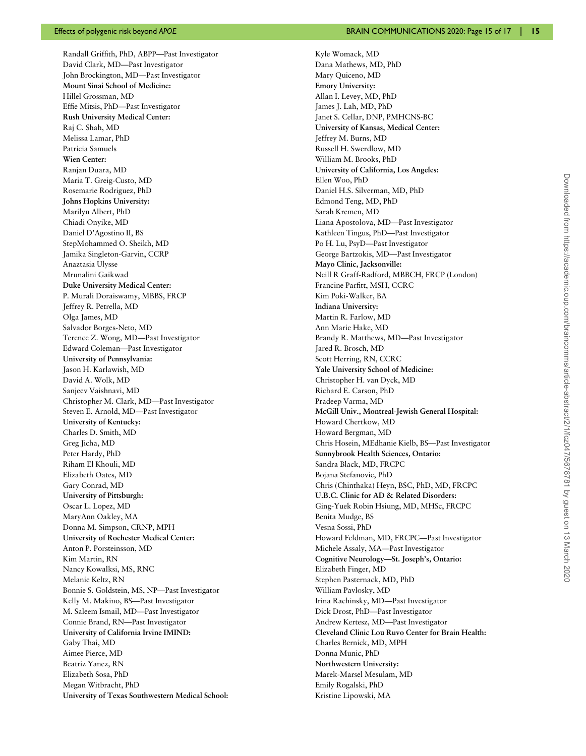Randall Griffith, PhD, ABPP—Past Investigator David Clark, MD—Past Investigator John Brockington, MD—Past Investigator Mount Sinai School of Medicine: Hillel Grossman, MD Effie Mitsis, PhD—Past Investigator Rush University Medical Center: Raj C. Shah, MD Melissa Lamar, PhD Patricia Samuels Wien Center: Ranjan Duara, MD Maria T. Greig-Custo, MD Rosemarie Rodriguez, PhD Johns Hopkins University: Marilyn Albert, PhD Chiadi Onyike, MD Daniel D'Agostino II, BS StepMohammed O. Sheikh, MD Jamika Singleton-Garvin, CCRP Anaztasia Ulysse Mrunalini Gaikwad Duke University Medical Center: P. Murali Doraiswamy, MBBS, FRCP Jeffrey R. Petrella, MD Olga James, MD Salvador Borges-Neto, MD Terence Z. Wong, MD—Past Investigator Edward Coleman—Past Investigator University of Pennsylvania: Jason H. Karlawish, MD David A. Wolk, MD Sanjeev Vaishnavi, MD Christopher M. Clark, MD—Past Investigator Steven E. Arnold, MD—Past Investigator University of Kentucky: Charles D. Smith, MD Greg Jicha, MD Peter Hardy, PhD Riham El Khouli, MD Elizabeth Oates, MD Gary Conrad, MD University of Pittsburgh: Oscar L. Lopez, MD MaryAnn Oakley, MA Donna M. Simpson, CRNP, MPH University of Rochester Medical Center: Anton P. Porsteinsson, MD Kim Martin, RN Nancy Kowalksi, MS, RNC Melanie Keltz, RN Bonnie S. Goldstein, MS, NP—Past Investigator Kelly M. Makino, BS—Past Investigator M. Saleem Ismail, MD—Past Investigator Connie Brand, RN—Past Investigator University of California Irvine IMIND: Gaby Thai, MD Aimee Pierce, MD Beatriz Yanez, RN Elizabeth Sosa, PhD Megan Witbracht, PhD

University of Texas Southwestern Medical School:

Kyle Womack, MD Dana Mathews, MD, PhD Mary Quiceno, MD Emory University: Allan I. Levey, MD, PhD James J. Lah, MD, PhD Janet S. Cellar, DNP, PMHCNS-BC University of Kansas, Medical Center: Jeffrey M. Burns, MD Russell H. Swerdlow, MD William M. Brooks, PhD University of California, Los Angeles: Ellen Woo, PhD Daniel H.S. Silverman, MD, PhD Edmond Teng, MD, PhD Sarah Kremen, MD Liana Apostolova, MD—Past Investigator Kathleen Tingus, PhD—Past Investigator Po H. Lu, PsyD—Past Investigator George Bartzokis, MD—Past Investigator Mayo Clinic, Jacksonville: Neill R Graff-Radford, MBBCH, FRCP (London) Francine Parfitt, MSH, CCRC Kim Poki-Walker, BA Indiana University: Martin R. Farlow, MD Ann Marie Hake, MD Brandy R. Matthews, MD—Past Investigator Jared R. Brosch, MD Scott Herring, RN, CCRC Yale University School of Medicine: Christopher H. van Dyck, MD Richard E. Carson, PhD Pradeep Varma, MD McGill Univ., Montreal-Jewish General Hospital: Howard Chertkow, MD Howard Bergman, MD Chris Hosein, MEdhanie Kielb, BS—Past Investigator Sunnybrook Health Sciences, Ontario: Sandra Black, MD, FRCPC Bojana Stefanovic, PhD Chris (Chinthaka) Heyn, BSC, PhD, MD, FRCPC U.B.C. Clinic for AD & Related Disorders: Ging-Yuek Robin Hsiung, MD, MHSc, FRCPC Benita Mudge, BS Vesna Sossi, PhD Howard Feldman, MD, FRCPC—Past Investigator Michele Assaly, MA—Past Investigator Cognitive Neurology—St. Joseph's, Ontario: Elizabeth Finger, MD Stephen Pasternack, MD, PhD William Pavlosky, MD Irina Rachinsky, MD—Past Investigator Dick Drost, PhD—Past Investigator Andrew Kertesz, MD—Past Investigator Cleveland Clinic Lou Ruvo Center for Brain Health: Charles Bernick, MD, MPH Donna Munic, PhD Northwestern University: Marek-Marsel Mesulam, MD Emily Rogalski, PhD Kristine Lipowski, MA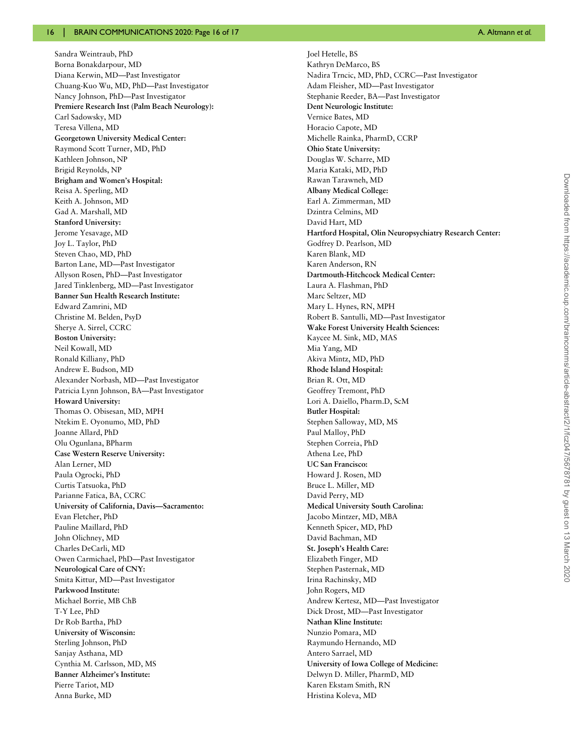Sandra Weintraub, PhD Borna Bonakdarpour, MD Diana Kerwin, MD—Past Investigator Chuang-Kuo Wu, MD, PhD—Past Investigator Nancy Johnson, PhD—Past Investigator Premiere Research Inst (Palm Beach Neurology): Carl Sadowsky, MD Teresa Villena, MD Georgetown University Medical Center: Raymond Scott Turner, MD, PhD Kathleen Johnson, NP Brigid Reynolds, NP Brigham and Women's Hospital: Reisa A. Sperling, MD Keith A. Johnson, MD Gad A. Marshall, MD Stanford University: Jerome Yesavage, MD Joy L. Taylor, PhD Steven Chao, MD, PhD Barton Lane, MD—Past Investigator Allyson Rosen, PhD—Past Investigator Jared Tinklenberg, MD—Past Investigator Banner Sun Health Research Institute: Edward Zamrini, MD Christine M. Belden, PsyD Sherye A. Sirrel, CCRC Boston University: Neil Kowall, MD Ronald Killiany, PhD Andrew E. Budson, MD Alexander Norbash, MD—Past Investigator Patricia Lynn Johnson, BA—Past Investigator Howard University: Thomas O. Obisesan, MD, MPH Ntekim E. Oyonumo, MD, PhD Joanne Allard, PhD Olu Ogunlana, BPharm Case Western Reserve University: Alan Lerner, MD Paula Ogrocki, PhD Curtis Tatsuoka, PhD Parianne Fatica, BA, CCRC University of California, Davis—Sacramento: Evan Fletcher, PhD Pauline Maillard, PhD John Olichney, MD Charles DeCarli, MD Owen Carmichael, PhD—Past Investigator Neurological Care of CNY: Smita Kittur, MD—Past Investigator Parkwood Institute: Michael Borrie, MB ChB T-Y Lee, PhD Dr Rob Bartha, PhD University of Wisconsin: Sterling Johnson, PhD Sanjay Asthana, MD Cynthia M. Carlsson, MD, MS Banner Alzheimer's Institute: Pierre Tariot, MD Anna Burke, MD

Joel Hetelle, BS Kathryn DeMarco, BS Nadira Trncic, MD, PhD, CCRC—Past Investigator Adam Fleisher, MD—Past Investigator Stephanie Reeder, BA—Past Investigator Dent Neurologic Institute: Vernice Bates, MD Horacio Capote, MD Michelle Rainka, PharmD, CCRP Ohio State University: Douglas W. Scharre, MD Maria Kataki, MD, PhD Rawan Tarawneh, MD Albany Medical College: Earl A. Zimmerman, MD Dzintra Celmins, MD David Hart, MD Hartford Hospital, Olin Neuropsychiatry Research Center: Godfrey D. Pearlson, MD Karen Blank, MD Karen Anderson, RN Dartmouth-Hitchcock Medical Center: Laura A. Flashman, PhD Marc Seltzer, MD Mary L. Hynes, RN, MPH Robert B. Santulli, MD—Past Investigator Wake Forest University Health Sciences: Kaycee M. Sink, MD, MAS Mia Yang, MD Akiva Mintz, MD, PhD Rhode Island Hospital: Brian R. Ott, MD Geoffrey Tremont, PhD Lori A. Daiello, Pharm.D, ScM Butler Hospital: Stephen Salloway, MD, MS Paul Malloy, PhD Stephen Correia, PhD Athena Lee, PhD UC San Francisco: Howard J. Rosen, MD Bruce L. Miller, MD David Perry, MD Medical University South Carolina: Jacobo Mintzer, MD, MBA Kenneth Spicer, MD, PhD David Bachman, MD St. Joseph's Health Care: Elizabeth Finger, MD Stephen Pasternak, MD Irina Rachinsky, MD John Rogers, MD Andrew Kertesz, MD—Past Investigator Dick Drost, MD—Past Investigator Nathan Kline Institute: Nunzio Pomara, MD Raymundo Hernando, MD Antero Sarrael, MD University of Iowa College of Medicine: Delwyn D. Miller, PharmD, MD Karen Ekstam Smith, RN Hristina Koleva, MD